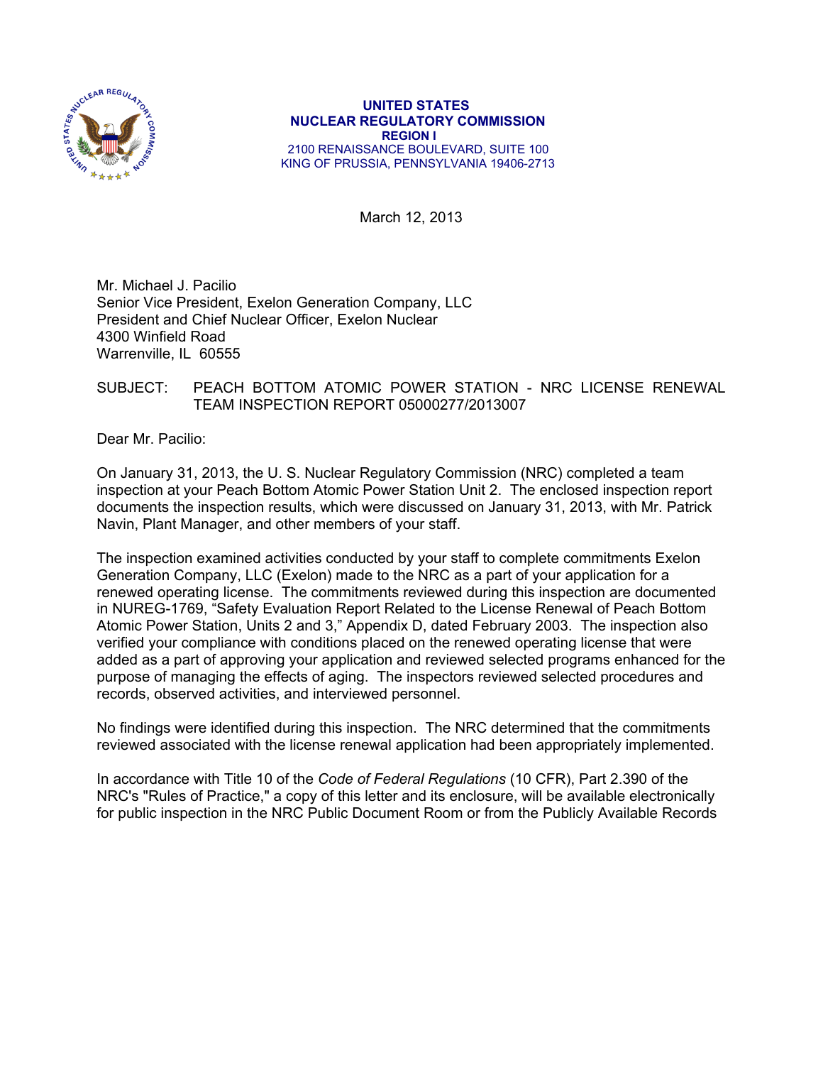

#### **UNITED STATES NUCLEAR REGULATORY COMMISSION REGION I**  2100 RENAISSANCE BOULEVARD, SUITE 100 KING OF PRUSSIA, PENNSYLVANIA 19406-2713

March 12, 2013

Mr. Michael J. Pacilio Senior Vice President, Exelon Generation Company, LLC President and Chief Nuclear Officer, Exelon Nuclear 4300 Winfield Road Warrenville, IL 60555

## SUBJECT: PEACH BOTTOM ATOMIC POWER STATION - NRC LICENSE RENEWAL TEAM INSPECTION REPORT 05000277/2013007

Dear Mr. Pacilio:

On January 31, 2013, the U. S. Nuclear Regulatory Commission (NRC) completed a team inspection at your Peach Bottom Atomic Power Station Unit 2. The enclosed inspection report documents the inspection results, which were discussed on January 31, 2013, with Mr. Patrick Navin, Plant Manager, and other members of your staff.

The inspection examined activities conducted by your staff to complete commitments Exelon Generation Company, LLC (Exelon) made to the NRC as a part of your application for a renewed operating license. The commitments reviewed during this inspection are documented in NUREG-1769, "Safety Evaluation Report Related to the License Renewal of Peach Bottom Atomic Power Station, Units 2 and 3," Appendix D, dated February 2003. The inspection also verified your compliance with conditions placed on the renewed operating license that were added as a part of approving your application and reviewed selected programs enhanced for the purpose of managing the effects of aging. The inspectors reviewed selected procedures and records, observed activities, and interviewed personnel.

No findings were identified during this inspection. The NRC determined that the commitments reviewed associated with the license renewal application had been appropriately implemented.

In accordance with Title 10 of the *Code of Federal Regulations* (10 CFR), Part 2.390 of the NRC's "Rules of Practice," a copy of this letter and its enclosure, will be available electronically for public inspection in the NRC Public Document Room or from the Publicly Available Records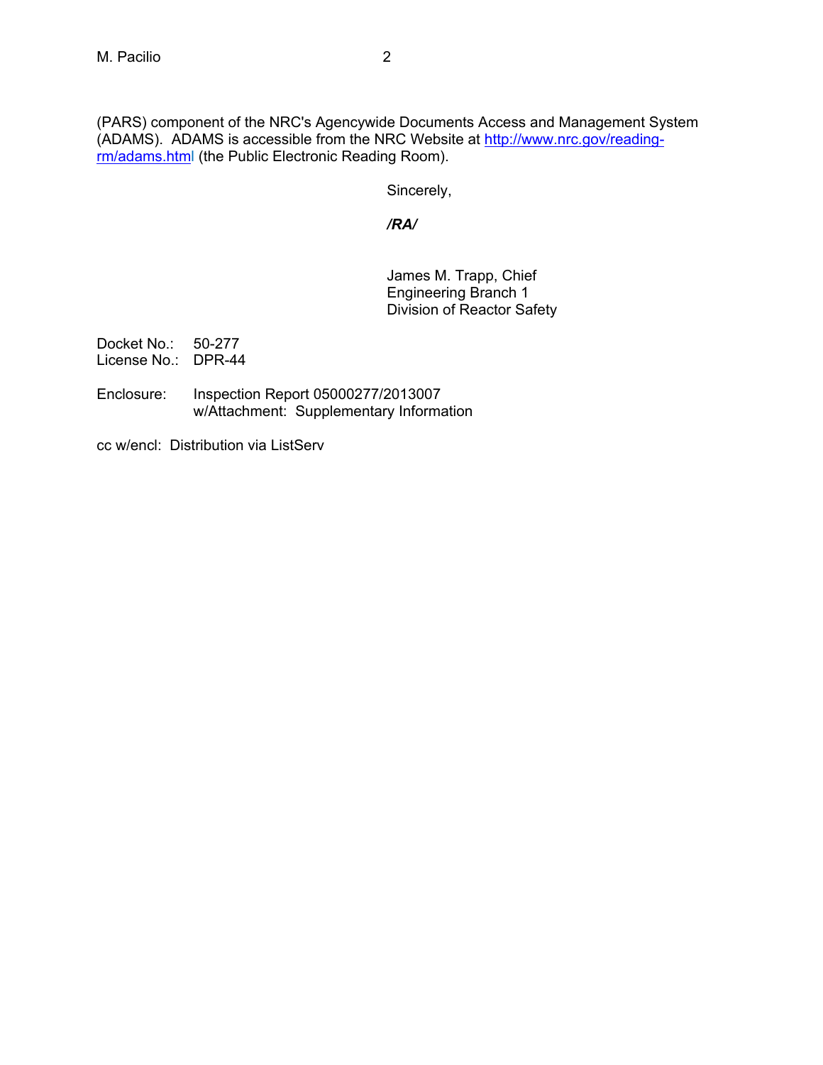(PARS) component of the NRC's Agencywide Documents Access and Management System (ADAMS). ADAMS is accessible from the NRC Website at http://www.nrc.gov/readingrm/adams.html (the Public Electronic Reading Room).

Sincerely,

 */RA/* 

James M. Trapp, Chief Engineering Branch 1 Division of Reactor Safety

Docket No.: 50-277

License No.: DPR-44

Enclosure: Inspection Report 05000277/2013007 w/Attachment: Supplementary Information

cc w/encl: Distribution via ListServ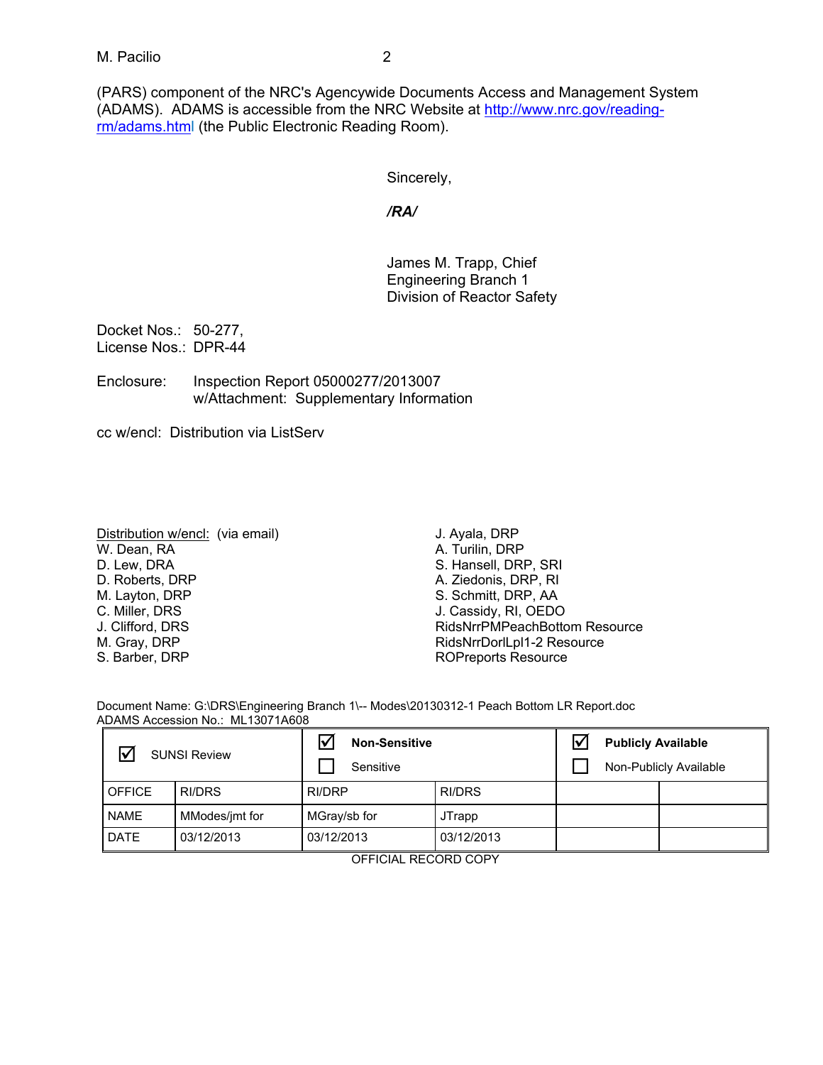Sincerely,

## */RA/*

James M. Trapp, Chief Engineering Branch 1 Division of Reactor Safety

Docket Nos.: 50-277, License Nos.: DPR-44

Enclosure: Inspection Report 05000277/2013007 w/Attachment: Supplementary Information

cc w/encl: Distribution via ListServ

| Distribution w/encl: (via email) |  |
|----------------------------------|--|
| W. Dean, RA                      |  |
| D. Lew, DRA                      |  |
| D. Roberts, DRP                  |  |
| M. Layton, DRP                   |  |
| C. Miller, DRS                   |  |
| J. Clifford, DRS                 |  |
| M. Gray, DRP                     |  |
| S. Barber, DRP                   |  |

J. Ayala, DRP A. Turilin, DRP S. Hansell, DRP, SRI A. Ziedonis, DRP, RI S. Schmitt, DRP, AA J. Cassidy, RI, OEDO RidsNrrPMPeachBottom Resource RidsNrrDorlLpl1-2 Resource ROPreports Resource

Document Name: G:\DRS\Engineering Branch 1\-- Modes\20130312-1 Peach Bottom LR Report.doc ADAMS Accession No.: ML13071A608

|               | <b>SUNSI Review</b> | <b>Non-Sensitive</b><br>Sensitive |               | <b>Publicly Available</b><br>Non-Publicly Available |
|---------------|---------------------|-----------------------------------|---------------|-----------------------------------------------------|
| <b>OFFICE</b> | RI/DRS              | RI/DRP                            | <b>RI/DRS</b> |                                                     |
| <b>NAME</b>   | MModes/imt for      | MGray/sb for                      | <b>JTrapp</b> |                                                     |
| <b>DATE</b>   | 03/12/2013          | 03/12/2013                        | 03/12/2013    |                                                     |

OFFICIAL RECORD COPY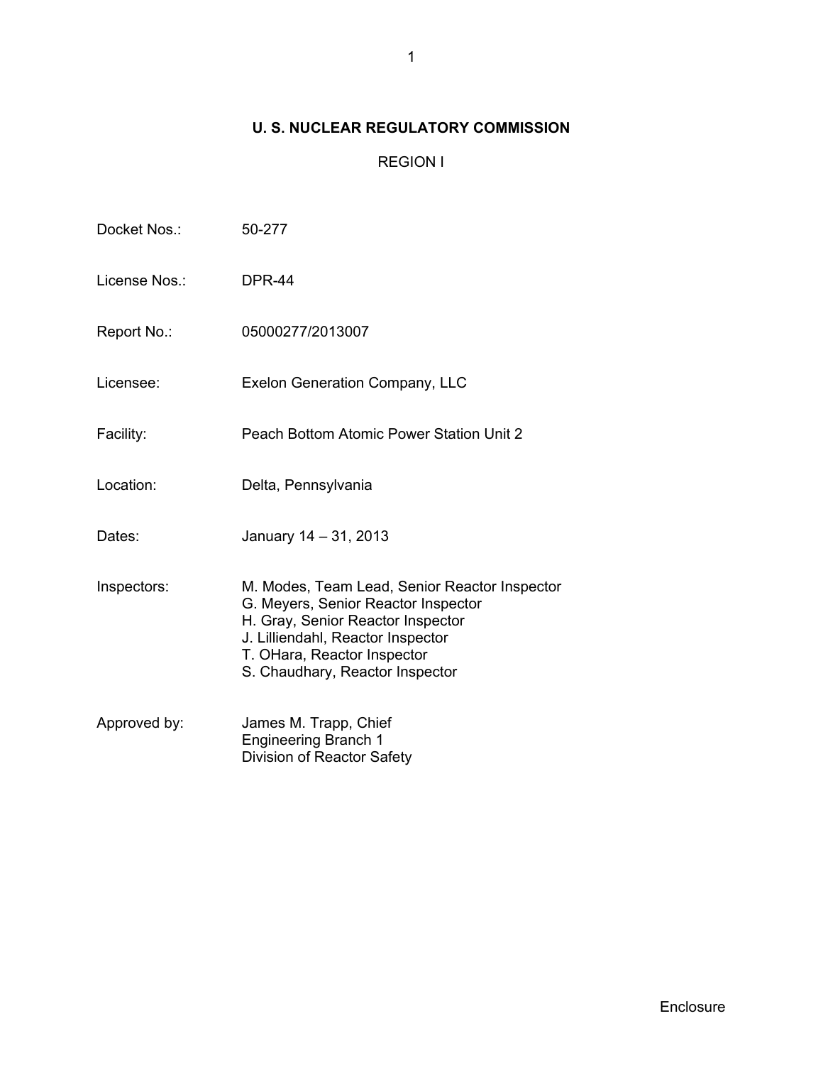# **U. S. NUCLEAR REGULATORY COMMISSION**

# REGION I

| Docket Nos.:  | 50-277                                                                                                                                                                                                                           |
|---------------|----------------------------------------------------------------------------------------------------------------------------------------------------------------------------------------------------------------------------------|
| License Nos.: | <b>DPR-44</b>                                                                                                                                                                                                                    |
| Report No.:   | 05000277/2013007                                                                                                                                                                                                                 |
| Licensee:     | Exelon Generation Company, LLC                                                                                                                                                                                                   |
| Facility:     | Peach Bottom Atomic Power Station Unit 2                                                                                                                                                                                         |
| Location:     | Delta, Pennsylvania                                                                                                                                                                                                              |
| Dates:        | January 14 - 31, 2013                                                                                                                                                                                                            |
| Inspectors:   | M. Modes, Team Lead, Senior Reactor Inspector<br>G. Meyers, Senior Reactor Inspector<br>H. Gray, Senior Reactor Inspector<br>J. Lilliendahl, Reactor Inspector<br>T. OHara, Reactor Inspector<br>S. Chaudhary, Reactor Inspector |
| Approved by:  | James M. Trapp, Chief<br><b>Engineering Branch 1</b><br>Division of Reactor Safety                                                                                                                                               |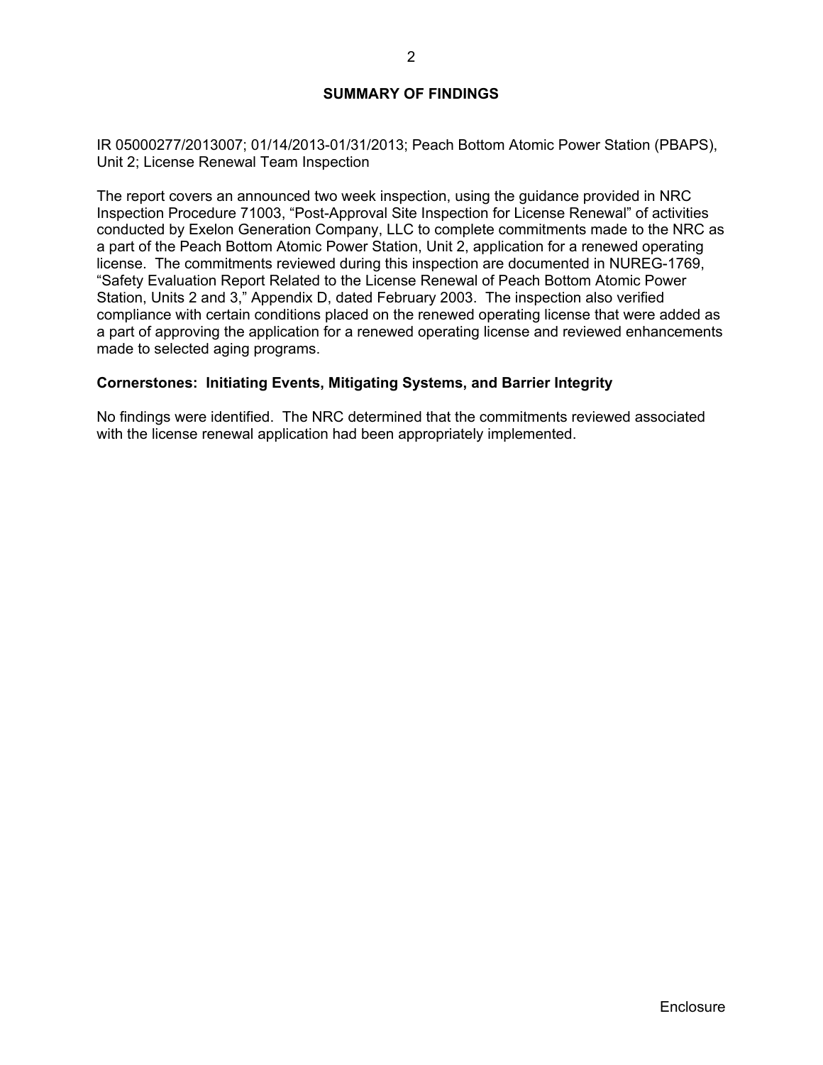## **SUMMARY OF FINDINGS**

IR 05000277/2013007; 01/14/2013-01/31/2013; Peach Bottom Atomic Power Station (PBAPS), Unit 2; License Renewal Team Inspection

The report covers an announced two week inspection, using the guidance provided in NRC Inspection Procedure 71003, "Post-Approval Site Inspection for License Renewal" of activities conducted by Exelon Generation Company, LLC to complete commitments made to the NRC as a part of the Peach Bottom Atomic Power Station, Unit 2, application for a renewed operating license. The commitments reviewed during this inspection are documented in NUREG-1769, "Safety Evaluation Report Related to the License Renewal of Peach Bottom Atomic Power Station, Units 2 and 3," Appendix D, dated February 2003. The inspection also verified compliance with certain conditions placed on the renewed operating license that were added as a part of approving the application for a renewed operating license and reviewed enhancements made to selected aging programs.

## **Cornerstones: Initiating Events, Mitigating Systems, and Barrier Integrity**

No findings were identified. The NRC determined that the commitments reviewed associated with the license renewal application had been appropriately implemented.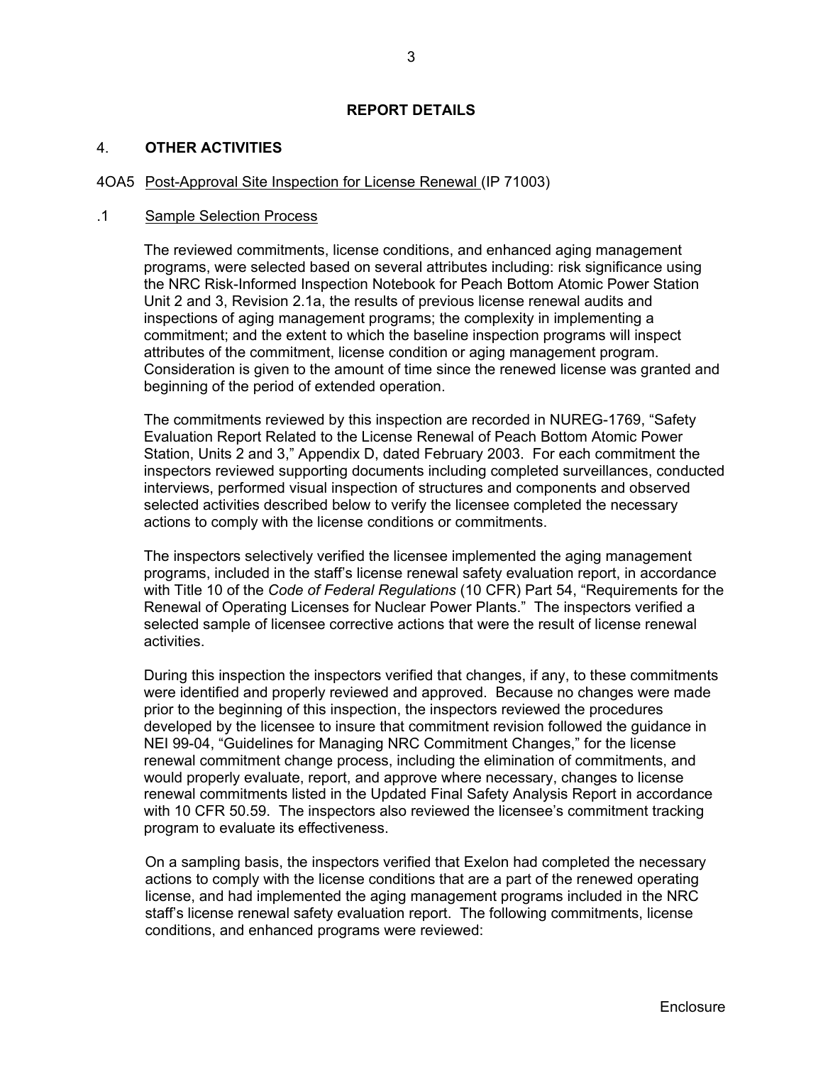## **REPORT DETAILS**

## 4. **OTHER ACTIVITIES**

## 4OA5 Post-Approval Site Inspection for License Renewal (IP 71003)

#### .1 Sample Selection Process

The reviewed commitments, license conditions, and enhanced aging management programs, were selected based on several attributes including: risk significance using the NRC Risk-Informed Inspection Notebook for Peach Bottom Atomic Power Station Unit 2 and 3, Revision 2.1a, the results of previous license renewal audits and inspections of aging management programs; the complexity in implementing a commitment; and the extent to which the baseline inspection programs will inspect attributes of the commitment, license condition or aging management program. Consideration is given to the amount of time since the renewed license was granted and beginning of the period of extended operation.

The commitments reviewed by this inspection are recorded in NUREG-1769, "Safety Evaluation Report Related to the License Renewal of Peach Bottom Atomic Power Station, Units 2 and 3," Appendix D, dated February 2003. For each commitment the inspectors reviewed supporting documents including completed surveillances, conducted interviews, performed visual inspection of structures and components and observed selected activities described below to verify the licensee completed the necessary actions to comply with the license conditions or commitments.

The inspectors selectively verified the licensee implemented the aging management programs, included in the staff's license renewal safety evaluation report, in accordance with Title 10 of the *Code of Federal Regulations* (10 CFR) Part 54, "Requirements for the Renewal of Operating Licenses for Nuclear Power Plants." The inspectors verified a selected sample of licensee corrective actions that were the result of license renewal activities.

During this inspection the inspectors verified that changes, if any, to these commitments were identified and properly reviewed and approved. Because no changes were made prior to the beginning of this inspection, the inspectors reviewed the procedures developed by the licensee to insure that commitment revision followed the guidance in NEI 99-04, "Guidelines for Managing NRC Commitment Changes," for the license renewal commitment change process, including the elimination of commitments, and would properly evaluate, report, and approve where necessary, changes to license renewal commitments listed in the Updated Final Safety Analysis Report in accordance with 10 CFR 50.59. The inspectors also reviewed the licensee's commitment tracking program to evaluate its effectiveness.

On a sampling basis, the inspectors verified that Exelon had completed the necessary actions to comply with the license conditions that are a part of the renewed operating license, and had implemented the aging management programs included in the NRC staff's license renewal safety evaluation report. The following commitments, license conditions, and enhanced programs were reviewed: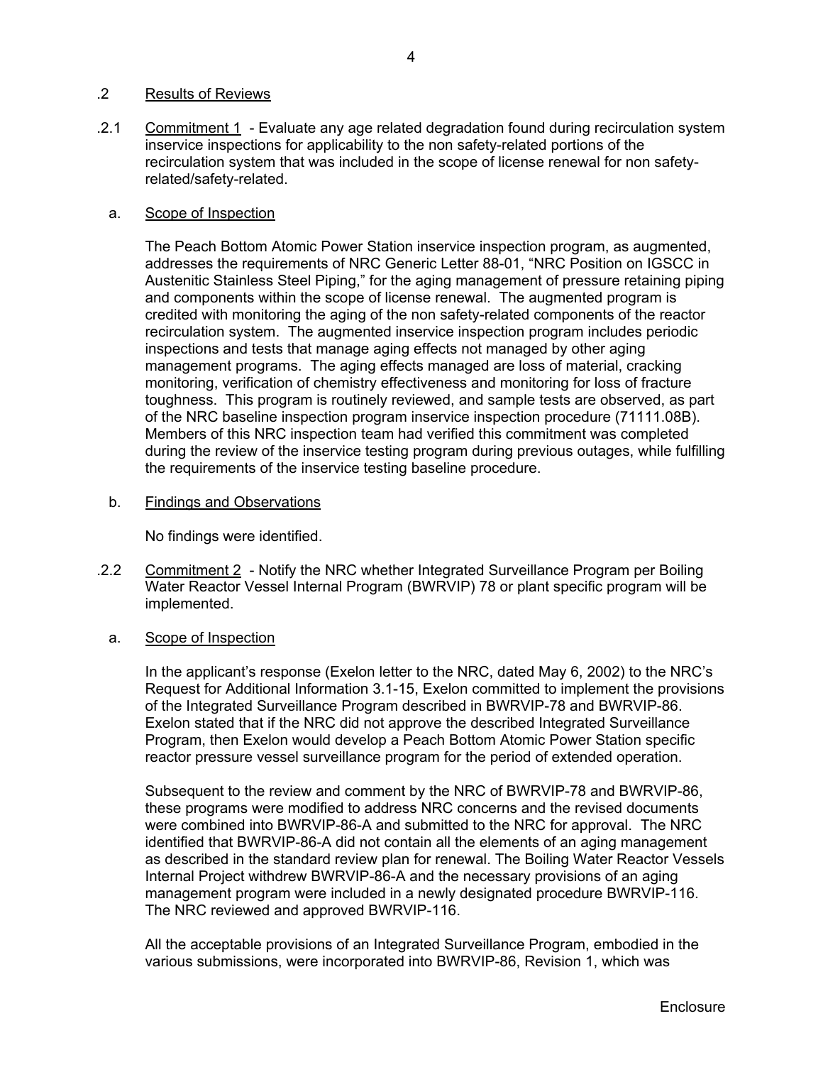## .2 Results of Reviews

.2.1 Commitment 1 - Evaluate any age related degradation found during recirculation system inservice inspections for applicability to the non safety-related portions of the recirculation system that was included in the scope of license renewal for non safetyrelated/safety-related.

## a. Scope of Inspection

 The Peach Bottom Atomic Power Station inservice inspection program, as augmented, addresses the requirements of NRC Generic Letter 88-01, "NRC Position on IGSCC in Austenitic Stainless Steel Piping," for the aging management of pressure retaining piping and components within the scope of license renewal. The augmented program is credited with monitoring the aging of the non safety-related components of the reactor recirculation system. The augmented inservice inspection program includes periodic inspections and tests that manage aging effects not managed by other aging management programs. The aging effects managed are loss of material, cracking monitoring, verification of chemistry effectiveness and monitoring for loss of fracture toughness. This program is routinely reviewed, and sample tests are observed, as part of the NRC baseline inspection program inservice inspection procedure (71111.08B). Members of this NRC inspection team had verified this commitment was completed during the review of the inservice testing program during previous outages, while fulfilling the requirements of the inservice testing baseline procedure.

b. Findings and Observations

No findings were identified.

- 2.2 Commitment 2 Notify the NRC whether Integrated Surveillance Program per Boiling Water Reactor Vessel Internal Program (BWRVIP) 78 or plant specific program will be implemented.
	- a. Scope of Inspection

 In the applicant's response (Exelon letter to the NRC, dated May 6, 2002) to the NRC's Request for Additional Information 3.1-15, Exelon committed to implement the provisions of the Integrated Surveillance Program described in BWRVIP-78 and BWRVIP-86. Exelon stated that if the NRC did not approve the described Integrated Surveillance Program, then Exelon would develop a Peach Bottom Atomic Power Station specific reactor pressure vessel surveillance program for the period of extended operation.

Subsequent to the review and comment by the NRC of BWRVIP-78 and BWRVIP-86, these programs were modified to address NRC concerns and the revised documents were combined into BWRVIP-86-A and submitted to the NRC for approval. The NRC identified that BWRVIP-86-A did not contain all the elements of an aging management as described in the standard review plan for renewal. The Boiling Water Reactor Vessels Internal Project withdrew BWRVIP-86-A and the necessary provisions of an aging management program were included in a newly designated procedure BWRVIP-116. The NRC reviewed and approved BWRVIP-116.

 All the acceptable provisions of an Integrated Surveillance Program, embodied in the various submissions, were incorporated into BWRVIP-86, Revision 1, which was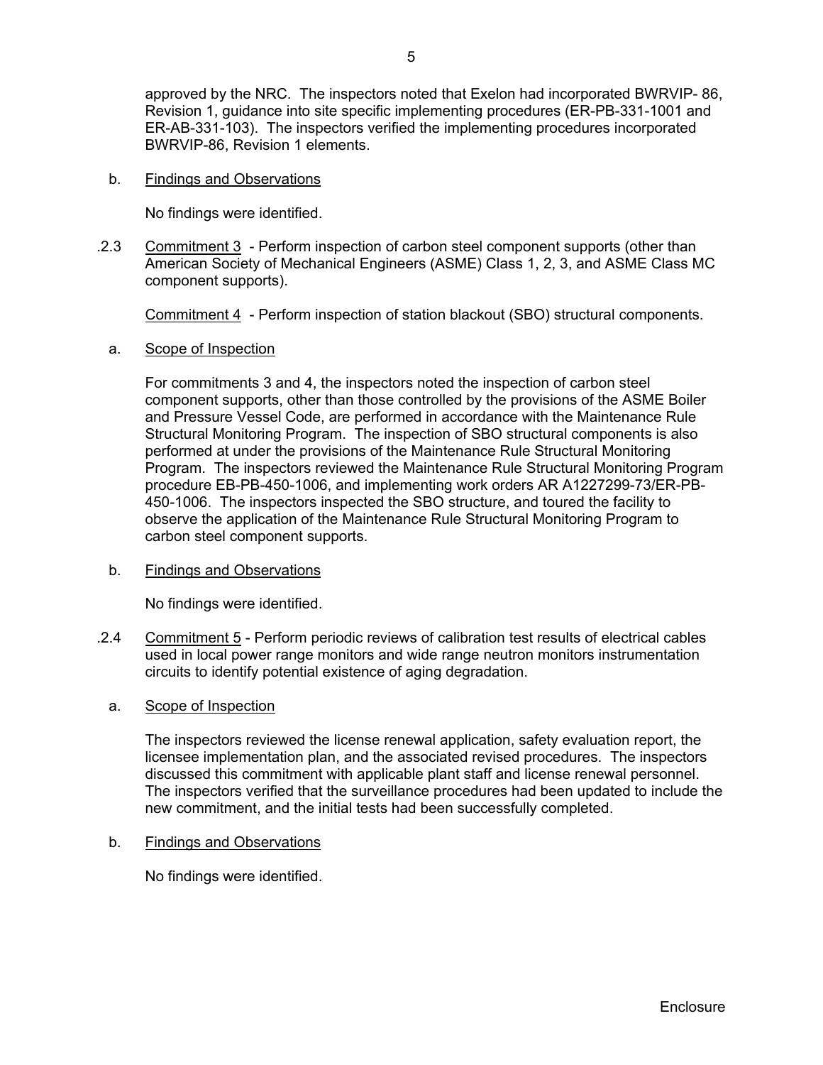approved by the NRC. The inspectors noted that Exelon had incorporated BWRVIP- 86, Revision 1, guidance into site specific implementing procedures (ER-PB-331-1001 and ER-AB-331-103). The inspectors verified the implementing procedures incorporated BWRVIP-86, Revision 1 elements.

b. Findings and Observations

No findings were identified.

.2.3 Commitment 3 - Perform inspection of carbon steel component supports (other than American Society of Mechanical Engineers (ASME) Class 1, 2, 3, and ASME Class MC component supports).

Commitment 4 - Perform inspection of station blackout (SBO) structural components.

a. Scope of Inspection

 For commitments 3 and 4, the inspectors noted the inspection of carbon steel component supports, other than those controlled by the provisions of the ASME Boiler and Pressure Vessel Code, are performed in accordance with the Maintenance Rule Structural Monitoring Program. The inspection of SBO structural components is also performed at under the provisions of the Maintenance Rule Structural Monitoring Program. The inspectors reviewed the Maintenance Rule Structural Monitoring Program procedure EB-PB-450-1006, and implementing work orders AR A1227299-73/ER-PB-450-1006. The inspectors inspected the SBO structure, and toured the facility to observe the application of the Maintenance Rule Structural Monitoring Program to carbon steel component supports.

b. Findings and Observations

No findings were identified.

- .2.4 Commitment 5 Perform periodic reviews of calibration test results of electrical cables used in local power range monitors and wide range neutron monitors instrumentation circuits to identify potential existence of aging degradation.
	- a. Scope of Inspection

The inspectors reviewed the license renewal application, safety evaluation report, the licensee implementation plan, and the associated revised procedures. The inspectors discussed this commitment with applicable plant staff and license renewal personnel. The inspectors verified that the surveillance procedures had been updated to include the new commitment, and the initial tests had been successfully completed.

b. Findings and Observations

No findings were identified.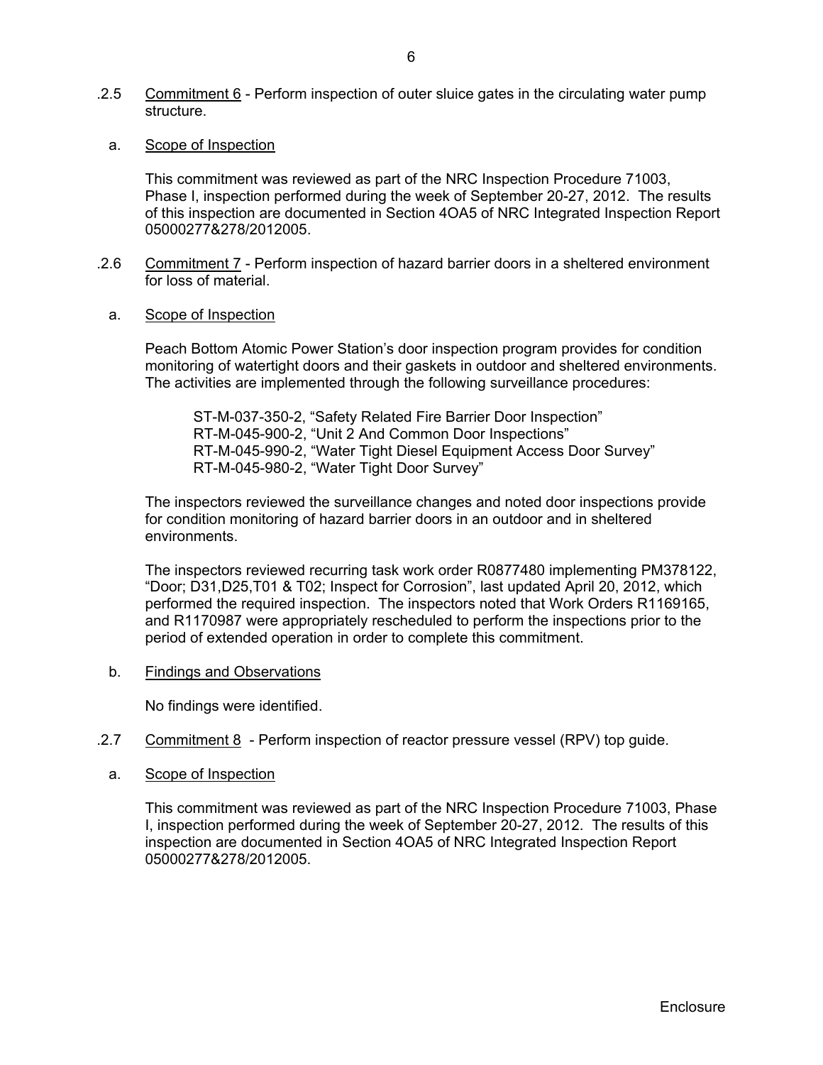- .2.5 Commitment 6 Perform inspection of outer sluice gates in the circulating water pump structure.
	- a. Scope of Inspection

 This commitment was reviewed as part of the NRC Inspection Procedure 71003, Phase I, inspection performed during the week of September 20-27, 2012. The results of this inspection are documented in Section 4OA5 of NRC Integrated Inspection Report 05000277&278/2012005.

- .2.6 Commitment 7 Perform inspection of hazard barrier doors in a sheltered environment for loss of material.
	- a. Scope of Inspection

 Peach Bottom Atomic Power Station's door inspection program provides for condition monitoring of watertight doors and their gaskets in outdoor and sheltered environments. The activities are implemented through the following surveillance procedures:

 ST-M-037-350-2, "Safety Related Fire Barrier Door Inspection" RT-M-045-900-2, "Unit 2 And Common Door Inspections" RT-M-045-990-2, "Water Tight Diesel Equipment Access Door Survey" RT-M-045-980-2, "Water Tight Door Survey"

 The inspectors reviewed the surveillance changes and noted door inspections provide for condition monitoring of hazard barrier doors in an outdoor and in sheltered environments.

 The inspectors reviewed recurring task work order R0877480 implementing PM378122, "Door; D31,D25,T01 & T02; Inspect for Corrosion", last updated April 20, 2012, which performed the required inspection. The inspectors noted that Work Orders R1169165, and R1170987 were appropriately rescheduled to perform the inspections prior to the period of extended operation in order to complete this commitment.

b. Findings and Observations

No findings were identified.

- .2.7 Commitment 8 Perform inspection of reactor pressure vessel (RPV) top guide.
	- a. Scope of Inspection

 This commitment was reviewed as part of the NRC Inspection Procedure 71003, Phase I, inspection performed during the week of September 20-27, 2012. The results of this inspection are documented in Section 4OA5 of NRC Integrated Inspection Report 05000277&278/2012005.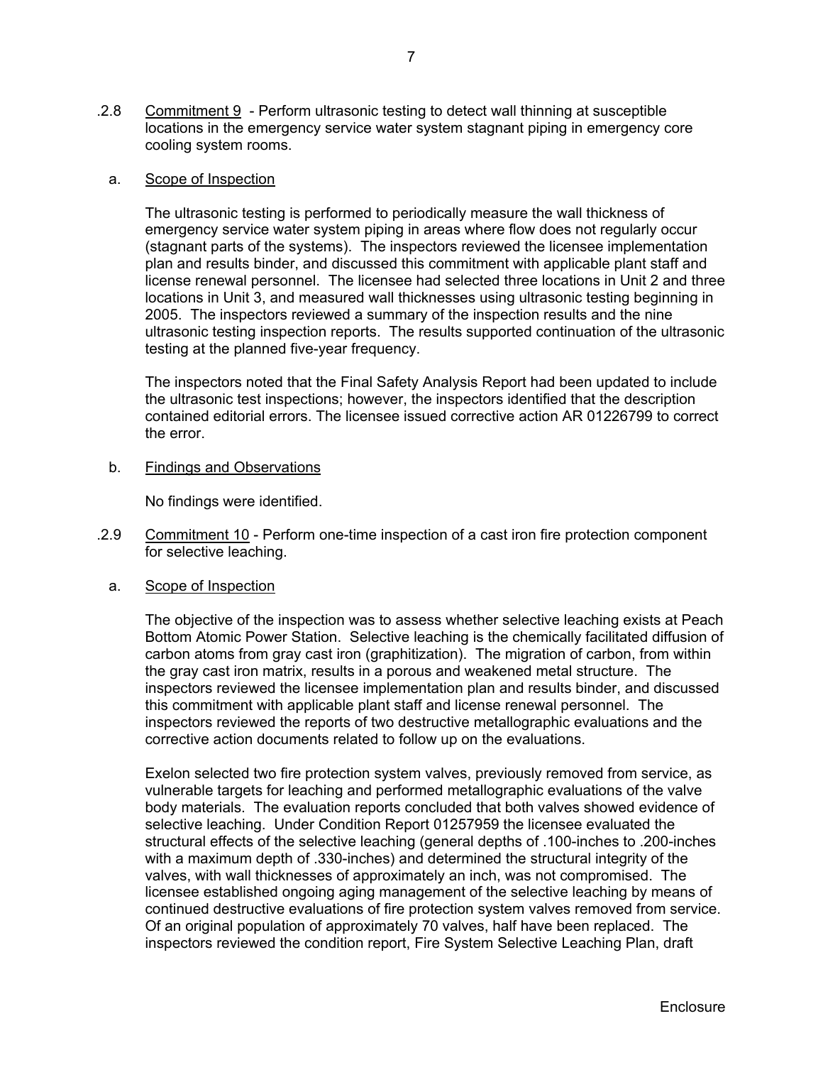.2.8 Commitment 9 - Perform ultrasonic testing to detect wall thinning at susceptible locations in the emergency service water system stagnant piping in emergency core cooling system rooms.

## a. Scope of Inspection

The ultrasonic testing is performed to periodically measure the wall thickness of emergency service water system piping in areas where flow does not regularly occur (stagnant parts of the systems). The inspectors reviewed the licensee implementation plan and results binder, and discussed this commitment with applicable plant staff and license renewal personnel. The licensee had selected three locations in Unit 2 and three locations in Unit 3, and measured wall thicknesses using ultrasonic testing beginning in 2005. The inspectors reviewed a summary of the inspection results and the nine ultrasonic testing inspection reports. The results supported continuation of the ultrasonic testing at the planned five-year frequency.

 The inspectors noted that the Final Safety Analysis Report had been updated to include the ultrasonic test inspections; however, the inspectors identified that the description contained editorial errors. The licensee issued corrective action AR 01226799 to correct the error.

b. Findings and Observations

No findings were identified.

- .2.9 Commitment 10 Perform one-time inspection of a cast iron fire protection component for selective leaching.
	- a. Scope of Inspection

The objective of the inspection was to assess whether selective leaching exists at Peach Bottom Atomic Power Station. Selective leaching is the chemically facilitated diffusion of carbon atoms from gray cast iron (graphitization). The migration of carbon, from within the gray cast iron matrix, results in a porous and weakened metal structure. The inspectors reviewed the licensee implementation plan and results binder, and discussed this commitment with applicable plant staff and license renewal personnel. The inspectors reviewed the reports of two destructive metallographic evaluations and the corrective action documents related to follow up on the evaluations.

Exelon selected two fire protection system valves, previously removed from service, as vulnerable targets for leaching and performed metallographic evaluations of the valve body materials. The evaluation reports concluded that both valves showed evidence of selective leaching. Under Condition Report 01257959 the licensee evaluated the structural effects of the selective leaching (general depths of .100-inches to .200-inches with a maximum depth of .330-inches) and determined the structural integrity of the valves, with wall thicknesses of approximately an inch, was not compromised. The licensee established ongoing aging management of the selective leaching by means of continued destructive evaluations of fire protection system valves removed from service. Of an original population of approximately 70 valves, half have been replaced. The inspectors reviewed the condition report, Fire System Selective Leaching Plan, draft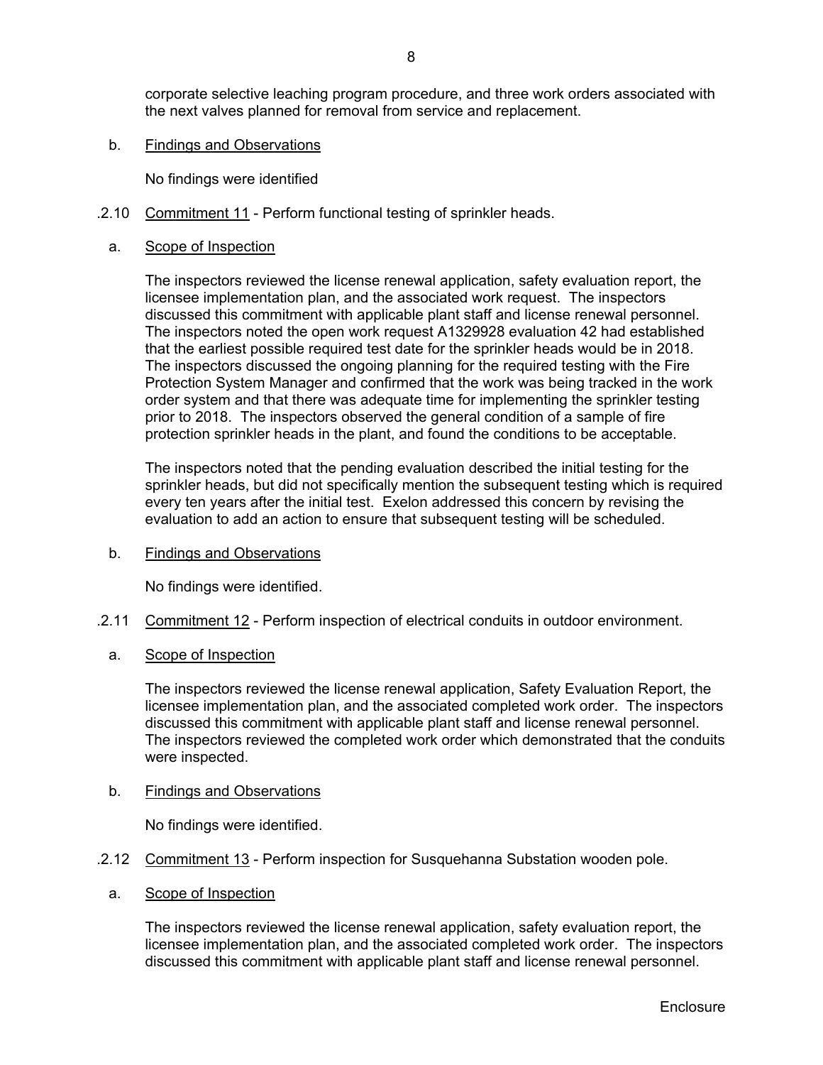b. Findings and Observations

No findings were identified

- .2.10 Commitment 11 Perform functional testing of sprinkler heads.
	- a. Scope of Inspection

The inspectors reviewed the license renewal application, safety evaluation report, the licensee implementation plan, and the associated work request. The inspectors discussed this commitment with applicable plant staff and license renewal personnel. The inspectors noted the open work request A1329928 evaluation 42 had established that the earliest possible required test date for the sprinkler heads would be in 2018. The inspectors discussed the ongoing planning for the required testing with the Fire Protection System Manager and confirmed that the work was being tracked in the work order system and that there was adequate time for implementing the sprinkler testing prior to 2018. The inspectors observed the general condition of a sample of fire protection sprinkler heads in the plant, and found the conditions to be acceptable.

 The inspectors noted that the pending evaluation described the initial testing for the sprinkler heads, but did not specifically mention the subsequent testing which is required every ten years after the initial test. Exelon addressed this concern by revising the evaluation to add an action to ensure that subsequent testing will be scheduled.

b. Findings and Observations

No findings were identified.

- .2.11 Commitment 12 Perform inspection of electrical conduits in outdoor environment.
	- a. Scope of Inspection

The inspectors reviewed the license renewal application, Safety Evaluation Report, the licensee implementation plan, and the associated completed work order. The inspectors discussed this commitment with applicable plant staff and license renewal personnel. The inspectors reviewed the completed work order which demonstrated that the conduits were inspected.

b. Findings and Observations

No findings were identified.

- .2.12 Commitment 13 Perform inspection for Susquehanna Substation wooden pole.
	- a. Scope of Inspection

The inspectors reviewed the license renewal application, safety evaluation report, the licensee implementation plan, and the associated completed work order. The inspectors discussed this commitment with applicable plant staff and license renewal personnel.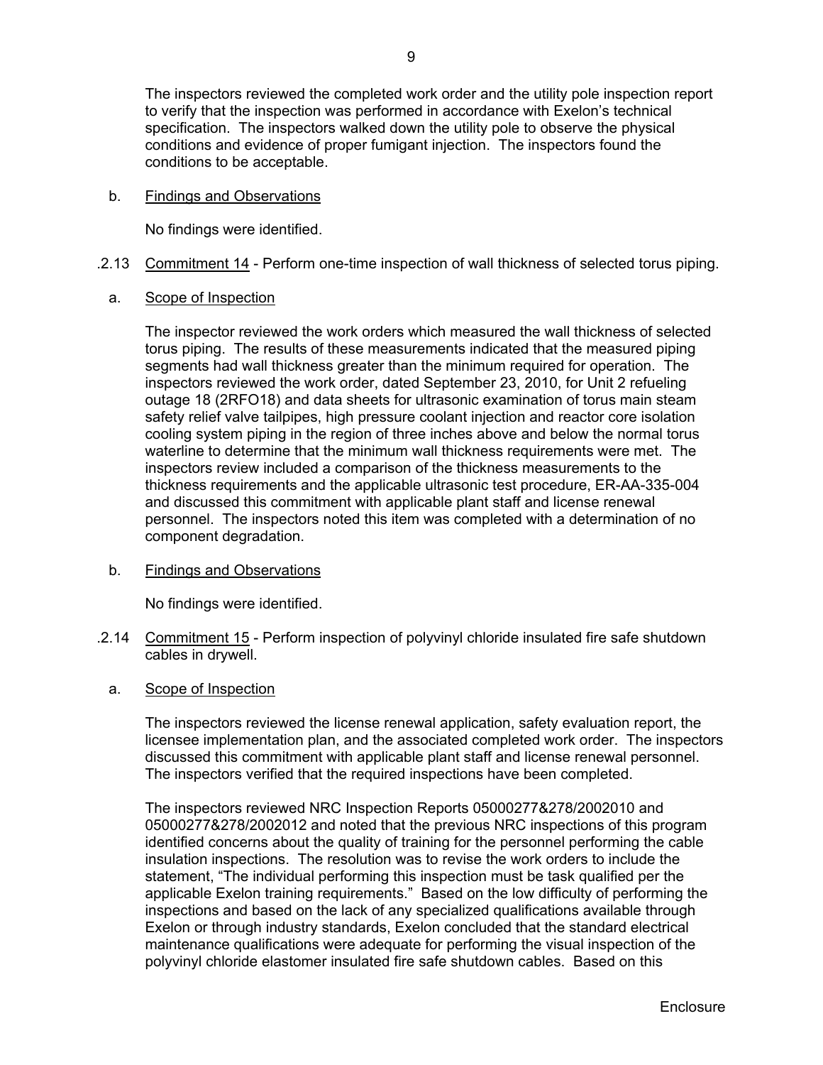The inspectors reviewed the completed work order and the utility pole inspection report to verify that the inspection was performed in accordance with Exelon's technical specification. The inspectors walked down the utility pole to observe the physical conditions and evidence of proper fumigant injection. The inspectors found the conditions to be acceptable.

b. Findings and Observations

No findings were identified.

- .2.13 Commitment 14 Perform one-time inspection of wall thickness of selected torus piping.
	- a. Scope of Inspection

 The inspector reviewed the work orders which measured the wall thickness of selected torus piping. The results of these measurements indicated that the measured piping segments had wall thickness greater than the minimum required for operation. The inspectors reviewed the work order, dated September 23, 2010, for Unit 2 refueling outage 18 (2RFO18) and data sheets for ultrasonic examination of torus main steam safety relief valve tailpipes, high pressure coolant injection and reactor core isolation cooling system piping in the region of three inches above and below the normal torus waterline to determine that the minimum wall thickness requirements were met. The inspectors review included a comparison of the thickness measurements to the thickness requirements and the applicable ultrasonic test procedure, ER-AA-335-004 and discussed this commitment with applicable plant staff and license renewal personnel. The inspectors noted this item was completed with a determination of no component degradation.

b. Findings and Observations

No findings were identified.

- .2.14 Commitment 15 Perform inspection of polyvinyl chloride insulated fire safe shutdown cables in drywell.
	- a. Scope of Inspection

The inspectors reviewed the license renewal application, safety evaluation report, the licensee implementation plan, and the associated completed work order. The inspectors discussed this commitment with applicable plant staff and license renewal personnel. The inspectors verified that the required inspections have been completed.

The inspectors reviewed NRC Inspection Reports 05000277&278/2002010 and 05000277&278/2002012 and noted that the previous NRC inspections of this program identified concerns about the quality of training for the personnel performing the cable insulation inspections. The resolution was to revise the work orders to include the statement, "The individual performing this inspection must be task qualified per the applicable Exelon training requirements." Based on the low difficulty of performing the inspections and based on the lack of any specialized qualifications available through Exelon or through industry standards, Exelon concluded that the standard electrical maintenance qualifications were adequate for performing the visual inspection of the polyvinyl chloride elastomer insulated fire safe shutdown cables. Based on this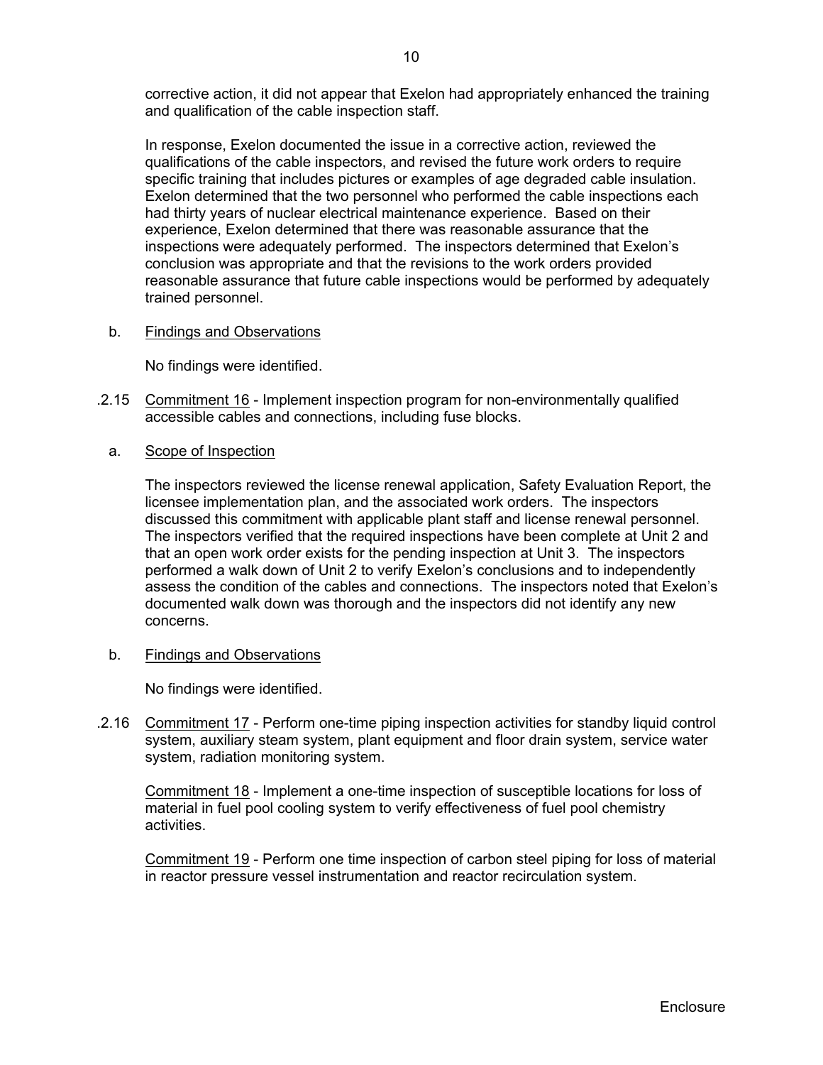corrective action, it did not appear that Exelon had appropriately enhanced the training and qualification of the cable inspection staff.

In response, Exelon documented the issue in a corrective action, reviewed the qualifications of the cable inspectors, and revised the future work orders to require specific training that includes pictures or examples of age degraded cable insulation. Exelon determined that the two personnel who performed the cable inspections each had thirty years of nuclear electrical maintenance experience. Based on their experience, Exelon determined that there was reasonable assurance that the inspections were adequately performed. The inspectors determined that Exelon's conclusion was appropriate and that the revisions to the work orders provided reasonable assurance that future cable inspections would be performed by adequately trained personnel.

b. Findings and Observations

No findings were identified.

- .2.15 Commitment 16 Implement inspection program for non-environmentally qualified accessible cables and connections, including fuse blocks.
	- a. Scope of Inspection

The inspectors reviewed the license renewal application, Safety Evaluation Report, the licensee implementation plan, and the associated work orders. The inspectors discussed this commitment with applicable plant staff and license renewal personnel. The inspectors verified that the required inspections have been complete at Unit 2 and that an open work order exists for the pending inspection at Unit 3. The inspectors performed a walk down of Unit 2 to verify Exelon's conclusions and to independently assess the condition of the cables and connections. The inspectors noted that Exelon's documented walk down was thorough and the inspectors did not identify any new concerns.

b. Findings and Observations

No findings were identified.

.2.16 Commitment 17 - Perform one-time piping inspection activities for standby liquid control system, auxiliary steam system, plant equipment and floor drain system, service water system, radiation monitoring system.

 Commitment 18 - Implement a one-time inspection of susceptible locations for loss of material in fuel pool cooling system to verify effectiveness of fuel pool chemistry activities.

 Commitment 19 - Perform one time inspection of carbon steel piping for loss of material in reactor pressure vessel instrumentation and reactor recirculation system.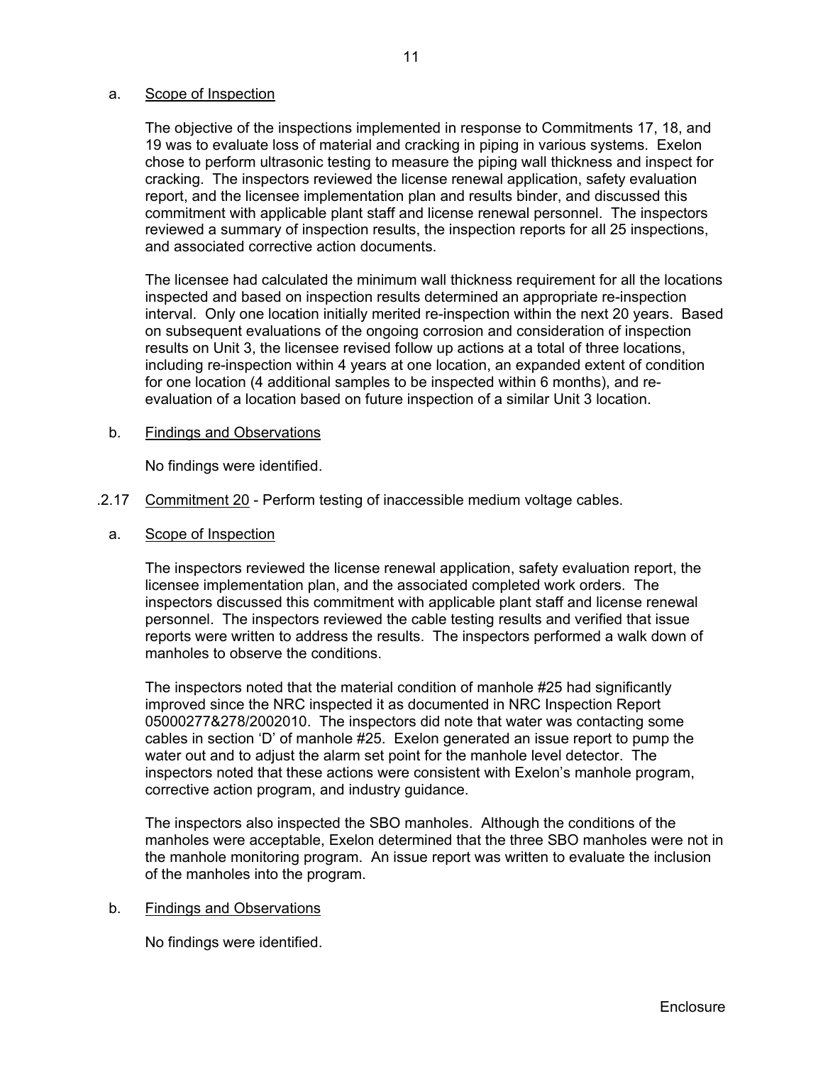### a. Scope of Inspection

The objective of the inspections implemented in response to Commitments 17, 18, and 19 was to evaluate loss of material and cracking in piping in various systems. Exelon chose to perform ultrasonic testing to measure the piping wall thickness and inspect for cracking. The inspectors reviewed the license renewal application, safety evaluation report, and the licensee implementation plan and results binder, and discussed this commitment with applicable plant staff and license renewal personnel. The inspectors reviewed a summary of inspection results, the inspection reports for all 25 inspections, and associated corrective action documents.

The licensee had calculated the minimum wall thickness requirement for all the locations inspected and based on inspection results determined an appropriate re-inspection interval. Only one location initially merited re-inspection within the next 20 years. Based on subsequent evaluations of the ongoing corrosion and consideration of inspection results on Unit 3, the licensee revised follow up actions at a total of three locations, including re-inspection within 4 years at one location, an expanded extent of condition for one location (4 additional samples to be inspected within 6 months), and reevaluation of a location based on future inspection of a similar Unit 3 location.

## b. Findings and Observations

No findings were identified.

- .2.17 Commitment 20 Perform testing of inaccessible medium voltage cables.
	- a. Scope of Inspection

 The inspectors reviewed the license renewal application, safety evaluation report, the licensee implementation plan, and the associated completed work orders. The inspectors discussed this commitment with applicable plant staff and license renewal personnel. The inspectors reviewed the cable testing results and verified that issue reports were written to address the results. The inspectors performed a walk down of manholes to observe the conditions.

The inspectors noted that the material condition of manhole #25 had significantly improved since the NRC inspected it as documented in NRC Inspection Report 05000277&278/2002010. The inspectors did note that water was contacting some cables in section 'D' of manhole #25. Exelon generated an issue report to pump the water out and to adjust the alarm set point for the manhole level detector. The inspectors noted that these actions were consistent with Exelon's manhole program, corrective action program, and industry guidance.

The inspectors also inspected the SBO manholes. Although the conditions of the manholes were acceptable, Exelon determined that the three SBO manholes were not in the manhole monitoring program. An issue report was written to evaluate the inclusion of the manholes into the program.

### b. Findings and Observations

No findings were identified.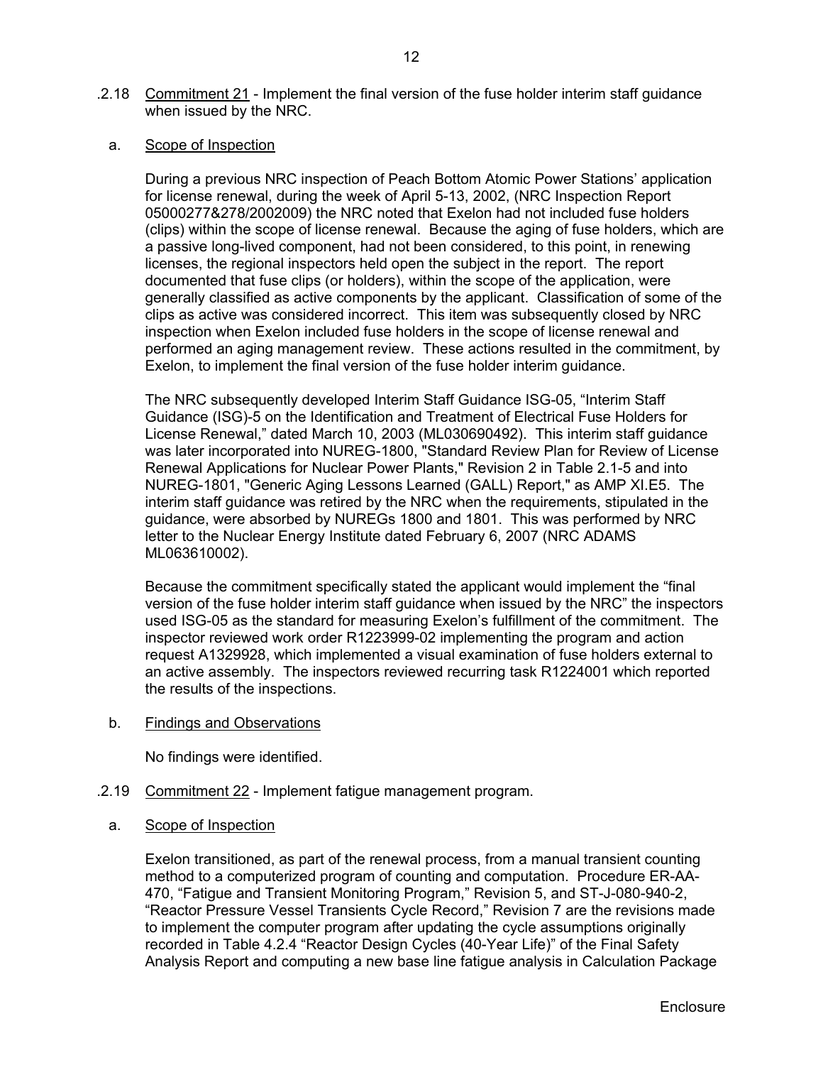.2.18 Commitment 21 - Implement the final version of the fuse holder interim staff guidance when issued by the NRC.

## a. Scope of Inspection

 During a previous NRC inspection of Peach Bottom Atomic Power Stations' application for license renewal, during the week of April 5-13, 2002, (NRC Inspection Report 05000277&278/2002009) the NRC noted that Exelon had not included fuse holders (clips) within the scope of license renewal. Because the aging of fuse holders, which are a passive long-lived component, had not been considered, to this point, in renewing licenses, the regional inspectors held open the subject in the report. The report documented that fuse clips (or holders), within the scope of the application, were generally classified as active components by the applicant. Classification of some of the clips as active was considered incorrect. This item was subsequently closed by NRC inspection when Exelon included fuse holders in the scope of license renewal and performed an aging management review. These actions resulted in the commitment, by Exelon, to implement the final version of the fuse holder interim guidance.

 The NRC subsequently developed Interim Staff Guidance ISG-05, "Interim Staff Guidance (ISG)-5 on the Identification and Treatment of Electrical Fuse Holders for License Renewal," dated March 10, 2003 (ML030690492). This interim staff guidance was later incorporated into NUREG-1800, "Standard Review Plan for Review of License Renewal Applications for Nuclear Power Plants," Revision 2 in Table 2.1-5 and into NUREG-1801, "Generic Aging Lessons Learned (GALL) Report," as AMP XI.E5. The interim staff guidance was retired by the NRC when the requirements, stipulated in the guidance, were absorbed by NUREGs 1800 and 1801. This was performed by NRC letter to the Nuclear Energy Institute dated February 6, 2007 (NRC ADAMS ML063610002).

 Because the commitment specifically stated the applicant would implement the "final version of the fuse holder interim staff guidance when issued by the NRC" the inspectors used ISG-05 as the standard for measuring Exelon's fulfillment of the commitment. The inspector reviewed work order R1223999-02 implementing the program and action request A1329928, which implemented a visual examination of fuse holders external to an active assembly. The inspectors reviewed recurring task R1224001 which reported the results of the inspections.

b. Findings and Observations

No findings were identified.

- .2.19 Commitment 22 Implement fatigue management program.
	- a. Scope of Inspection

 Exelon transitioned, as part of the renewal process, from a manual transient counting method to a computerized program of counting and computation. Procedure ER-AA-470, "Fatigue and Transient Monitoring Program," Revision 5, and ST-J-080-940-2, "Reactor Pressure Vessel Transients Cycle Record," Revision 7 are the revisions made to implement the computer program after updating the cycle assumptions originally recorded in Table 4.2.4 "Reactor Design Cycles (40-Year Life)" of the Final Safety Analysis Report and computing a new base line fatigue analysis in Calculation Package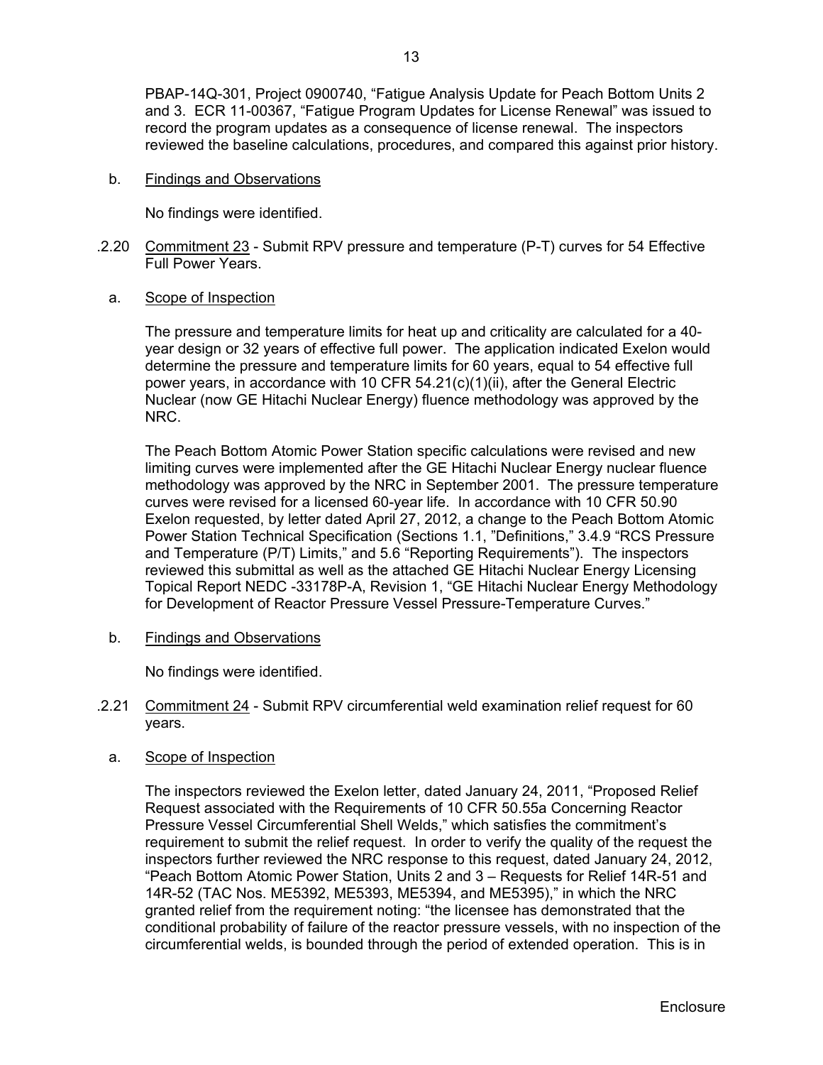PBAP-14Q-301, Project 0900740, "Fatigue Analysis Update for Peach Bottom Units 2 and 3. ECR 11-00367, "Fatigue Program Updates for License Renewal" was issued to record the program updates as a consequence of license renewal. The inspectors reviewed the baseline calculations, procedures, and compared this against prior history.

## b. Findings and Observations

No findings were identified.

- .2.20 Commitment 23 Submit RPV pressure and temperature (P-T) curves for 54 Effective Full Power Years.
	- a. Scope of Inspection

 The pressure and temperature limits for heat up and criticality are calculated for a 40 year design or 32 years of effective full power. The application indicated Exelon would determine the pressure and temperature limits for 60 years, equal to 54 effective full power years, in accordance with 10 CFR 54.21(c)(1)(ii), after the General Electric Nuclear (now GE Hitachi Nuclear Energy) fluence methodology was approved by the NRC.

 The Peach Bottom Atomic Power Station specific calculations were revised and new limiting curves were implemented after the GE Hitachi Nuclear Energy nuclear fluence methodology was approved by the NRC in September 2001. The pressure temperature curves were revised for a licensed 60-year life. In accordance with 10 CFR 50.90 Exelon requested, by letter dated April 27, 2012, a change to the Peach Bottom Atomic Power Station Technical Specification (Sections 1.1, "Definitions," 3.4.9 "RCS Pressure and Temperature (P/T) Limits," and 5.6 "Reporting Requirements"). The inspectors reviewed this submittal as well as the attached GE Hitachi Nuclear Energy Licensing Topical Report NEDC -33178P-A, Revision 1, "GE Hitachi Nuclear Energy Methodology for Development of Reactor Pressure Vessel Pressure-Temperature Curves."

b. Findings and Observations

No findings were identified.

- .2.21 Commitment 24 Submit RPV circumferential weld examination relief request for 60 years.
	- a. Scope of Inspection

 The inspectors reviewed the Exelon letter, dated January 24, 2011, "Proposed Relief Request associated with the Requirements of 10 CFR 50.55a Concerning Reactor Pressure Vessel Circumferential Shell Welds," which satisfies the commitment's requirement to submit the relief request. In order to verify the quality of the request the inspectors further reviewed the NRC response to this request, dated January 24, 2012, "Peach Bottom Atomic Power Station, Units 2 and 3 – Requests for Relief 14R-51 and 14R-52 (TAC Nos. ME5392, ME5393, ME5394, and ME5395)," in which the NRC granted relief from the requirement noting: "the licensee has demonstrated that the conditional probability of failure of the reactor pressure vessels, with no inspection of the circumferential welds, is bounded through the period of extended operation. This is in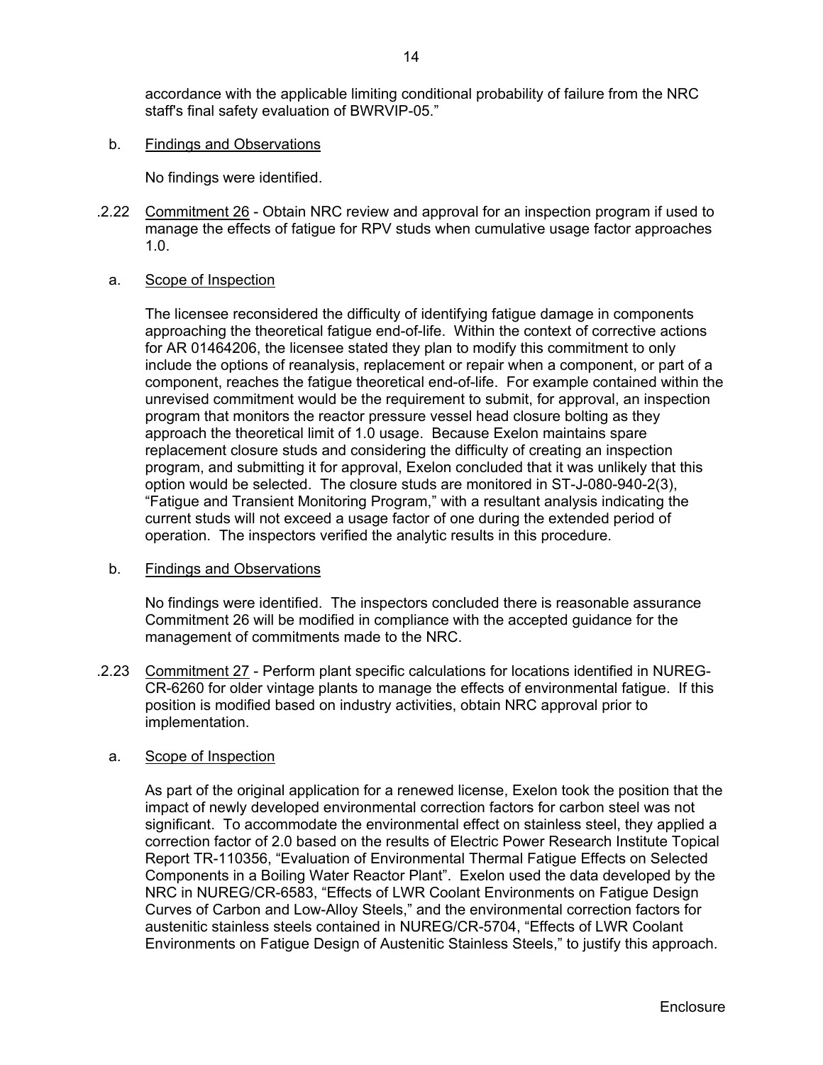accordance with the applicable limiting conditional probability of failure from the NRC staff's final safety evaluation of BWRVIP-05."

b. Findings and Observations

No findings were identified.

- .2.22 Commitment 26 Obtain NRC review and approval for an inspection program if used to manage the effects of fatigue for RPV studs when cumulative usage factor approaches 1.0.
	- a. Scope of Inspection

 The licensee reconsidered the difficulty of identifying fatigue damage in components approaching the theoretical fatigue end-of-life. Within the context of corrective actions for AR 01464206, the licensee stated they plan to modify this commitment to only include the options of reanalysis, replacement or repair when a component, or part of a component, reaches the fatigue theoretical end-of-life. For example contained within the unrevised commitment would be the requirement to submit, for approval, an inspection program that monitors the reactor pressure vessel head closure bolting as they approach the theoretical limit of 1.0 usage. Because Exelon maintains spare replacement closure studs and considering the difficulty of creating an inspection program, and submitting it for approval, Exelon concluded that it was unlikely that this option would be selected. The closure studs are monitored in ST-J-080-940-2(3), "Fatigue and Transient Monitoring Program," with a resultant analysis indicating the current studs will not exceed a usage factor of one during the extended period of operation. The inspectors verified the analytic results in this procedure.

## b. Findings and Observations

 No findings were identified. The inspectors concluded there is reasonable assurance Commitment 26 will be modified in compliance with the accepted guidance for the management of commitments made to the NRC.

.2.23 Commitment 27 - Perform plant specific calculations for locations identified in NUREG-CR-6260 for older vintage plants to manage the effects of environmental fatigue. If this position is modified based on industry activities, obtain NRC approval prior to implementation.

## a. Scope of Inspection

 As part of the original application for a renewed license, Exelon took the position that the impact of newly developed environmental correction factors for carbon steel was not significant. To accommodate the environmental effect on stainless steel, they applied a correction factor of 2.0 based on the results of Electric Power Research Institute Topical Report TR-110356, "Evaluation of Environmental Thermal Fatigue Effects on Selected Components in a Boiling Water Reactor Plant". Exelon used the data developed by the NRC in NUREG/CR-6583, "Effects of LWR Coolant Environments on Fatigue Design Curves of Carbon and Low-Alloy Steels," and the environmental correction factors for austenitic stainless steels contained in NUREG/CR-5704, "Effects of LWR Coolant Environments on Fatigue Design of Austenitic Stainless Steels," to justify this approach.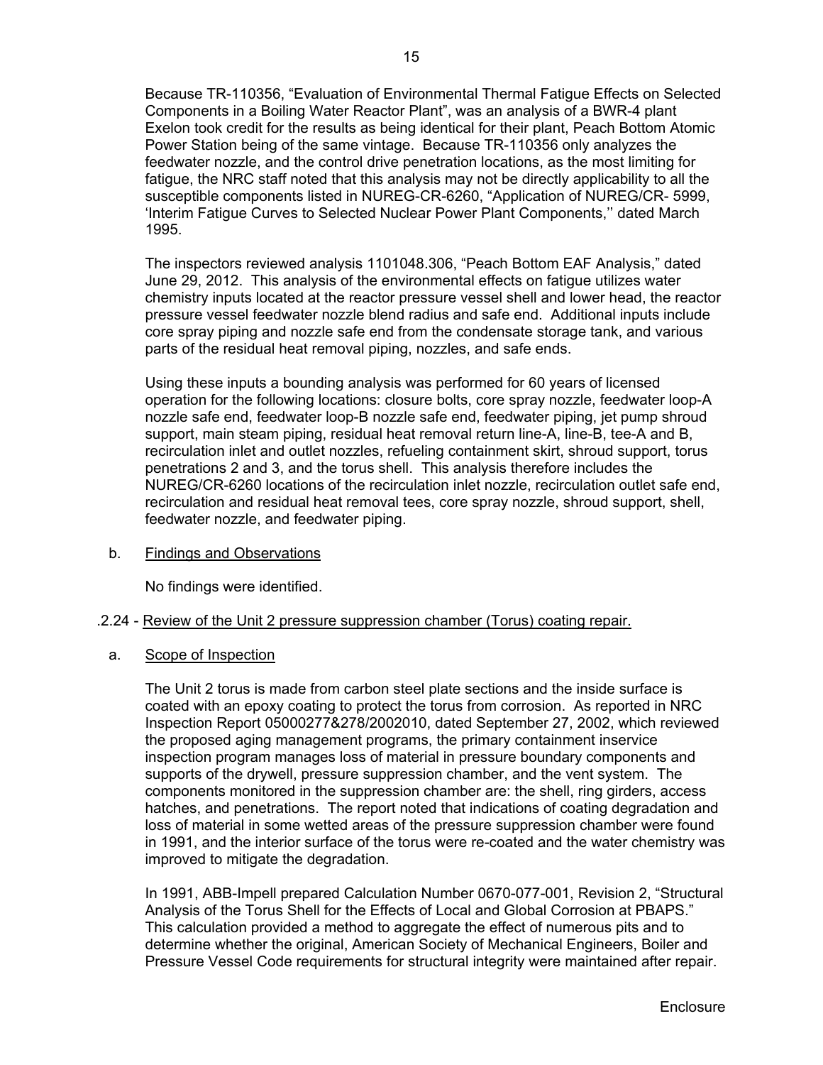Because TR-110356, "Evaluation of Environmental Thermal Fatigue Effects on Selected Components in a Boiling Water Reactor Plant", was an analysis of a BWR-4 plant Exelon took credit for the results as being identical for their plant, Peach Bottom Atomic Power Station being of the same vintage. Because TR-110356 only analyzes the feedwater nozzle, and the control drive penetration locations, as the most limiting for fatigue, the NRC staff noted that this analysis may not be directly applicability to all the susceptible components listed in NUREG-CR-6260, "Application of NUREG/CR- 5999, 'Interim Fatigue Curves to Selected Nuclear Power Plant Components,'' dated March 1995.

 The inspectors reviewed analysis 1101048.306, "Peach Bottom EAF Analysis," dated June 29, 2012. This analysis of the environmental effects on fatigue utilizes water chemistry inputs located at the reactor pressure vessel shell and lower head, the reactor pressure vessel feedwater nozzle blend radius and safe end. Additional inputs include core spray piping and nozzle safe end from the condensate storage tank, and various parts of the residual heat removal piping, nozzles, and safe ends.

 Using these inputs a bounding analysis was performed for 60 years of licensed operation for the following locations: closure bolts, core spray nozzle, feedwater loop-A nozzle safe end, feedwater loop-B nozzle safe end, feedwater piping, jet pump shroud support, main steam piping, residual heat removal return line-A, line-B, tee-A and B, recirculation inlet and outlet nozzles, refueling containment skirt, shroud support, torus penetrations 2 and 3, and the torus shell. This analysis therefore includes the NUREG/CR-6260 locations of the recirculation inlet nozzle, recirculation outlet safe end, recirculation and residual heat removal tees, core spray nozzle, shroud support, shell, feedwater nozzle, and feedwater piping.

b. Findings and Observations

No findings were identified.

#### .2.24 - Review of the Unit 2 pressure suppression chamber (Torus) coating repair.

#### a. Scope of Inspection

 The Unit 2 torus is made from carbon steel plate sections and the inside surface is coated with an epoxy coating to protect the torus from corrosion. As reported in NRC Inspection Report 05000277&278/2002010, dated September 27, 2002, which reviewed the proposed aging management programs, the primary containment inservice inspection program manages loss of material in pressure boundary components and supports of the drywell, pressure suppression chamber, and the vent system. The components monitored in the suppression chamber are: the shell, ring girders, access hatches, and penetrations. The report noted that indications of coating degradation and loss of material in some wetted areas of the pressure suppression chamber were found in 1991, and the interior surface of the torus were re-coated and the water chemistry was improved to mitigate the degradation.

 In 1991, ABB-Impell prepared Calculation Number 0670-077-001, Revision 2, "Structural Analysis of the Torus Shell for the Effects of Local and Global Corrosion at PBAPS." This calculation provided a method to aggregate the effect of numerous pits and to determine whether the original, American Society of Mechanical Engineers, Boiler and Pressure Vessel Code requirements for structural integrity were maintained after repair.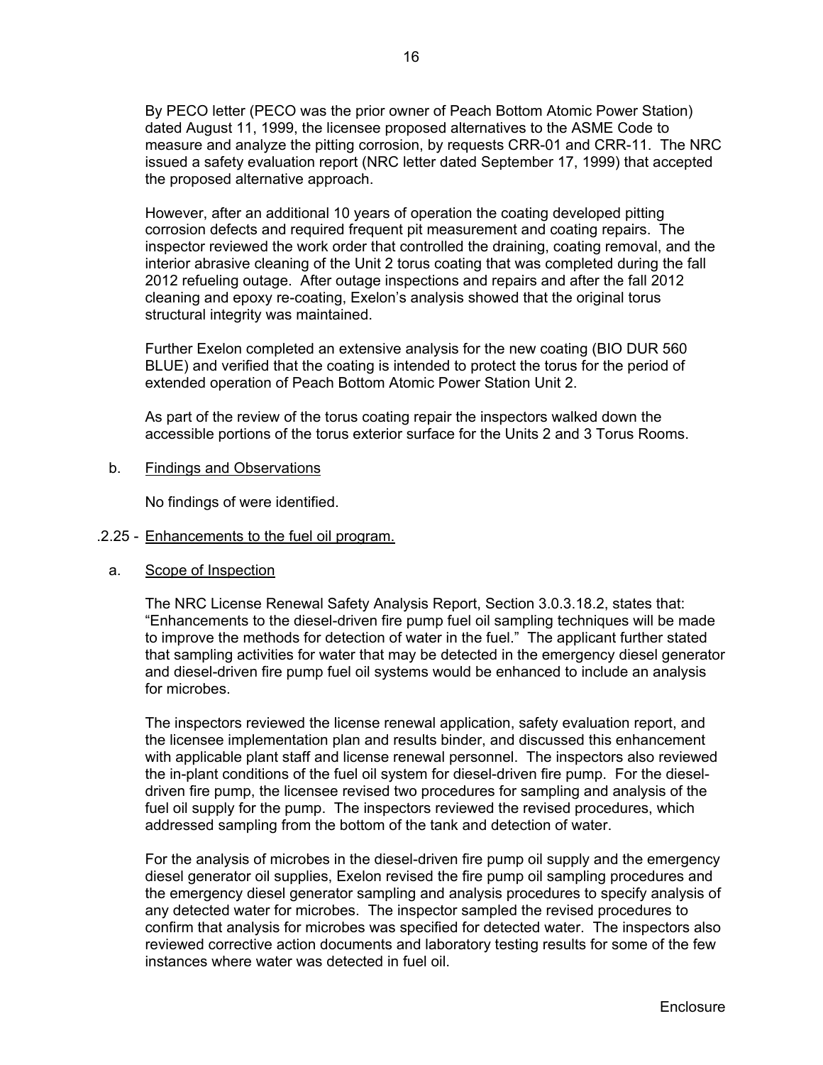By PECO letter (PECO was the prior owner of Peach Bottom Atomic Power Station) dated August 11, 1999, the licensee proposed alternatives to the ASME Code to measure and analyze the pitting corrosion, by requests CRR-01 and CRR-11. The NRC issued a safety evaluation report (NRC letter dated September 17, 1999) that accepted the proposed alternative approach.

 However, after an additional 10 years of operation the coating developed pitting corrosion defects and required frequent pit measurement and coating repairs. The inspector reviewed the work order that controlled the draining, coating removal, and the interior abrasive cleaning of the Unit 2 torus coating that was completed during the fall 2012 refueling outage. After outage inspections and repairs and after the fall 2012 cleaning and epoxy re-coating, Exelon's analysis showed that the original torus structural integrity was maintained.

 Further Exelon completed an extensive analysis for the new coating (BIO DUR 560 BLUE) and verified that the coating is intended to protect the torus for the period of extended operation of Peach Bottom Atomic Power Station Unit 2.

 As part of the review of the torus coating repair the inspectors walked down the accessible portions of the torus exterior surface for the Units 2 and 3 Torus Rooms.

b. Findings and Observations

No findings of were identified.

#### .2.25 - Enhancements to the fuel oil program.

a. Scope of Inspection

 The NRC License Renewal Safety Analysis Report, Section 3.0.3.18.2, states that: "Enhancements to the diesel-driven fire pump fuel oil sampling techniques will be made to improve the methods for detection of water in the fuel." The applicant further stated that sampling activities for water that may be detected in the emergency diesel generator and diesel-driven fire pump fuel oil systems would be enhanced to include an analysis for microbes.

 The inspectors reviewed the license renewal application, safety evaluation report, and the licensee implementation plan and results binder, and discussed this enhancement with applicable plant staff and license renewal personnel. The inspectors also reviewed the in-plant conditions of the fuel oil system for diesel-driven fire pump. For the dieseldriven fire pump, the licensee revised two procedures for sampling and analysis of the fuel oil supply for the pump. The inspectors reviewed the revised procedures, which addressed sampling from the bottom of the tank and detection of water.

 For the analysis of microbes in the diesel-driven fire pump oil supply and the emergency diesel generator oil supplies, Exelon revised the fire pump oil sampling procedures and the emergency diesel generator sampling and analysis procedures to specify analysis of any detected water for microbes. The inspector sampled the revised procedures to confirm that analysis for microbes was specified for detected water. The inspectors also reviewed corrective action documents and laboratory testing results for some of the few instances where water was detected in fuel oil.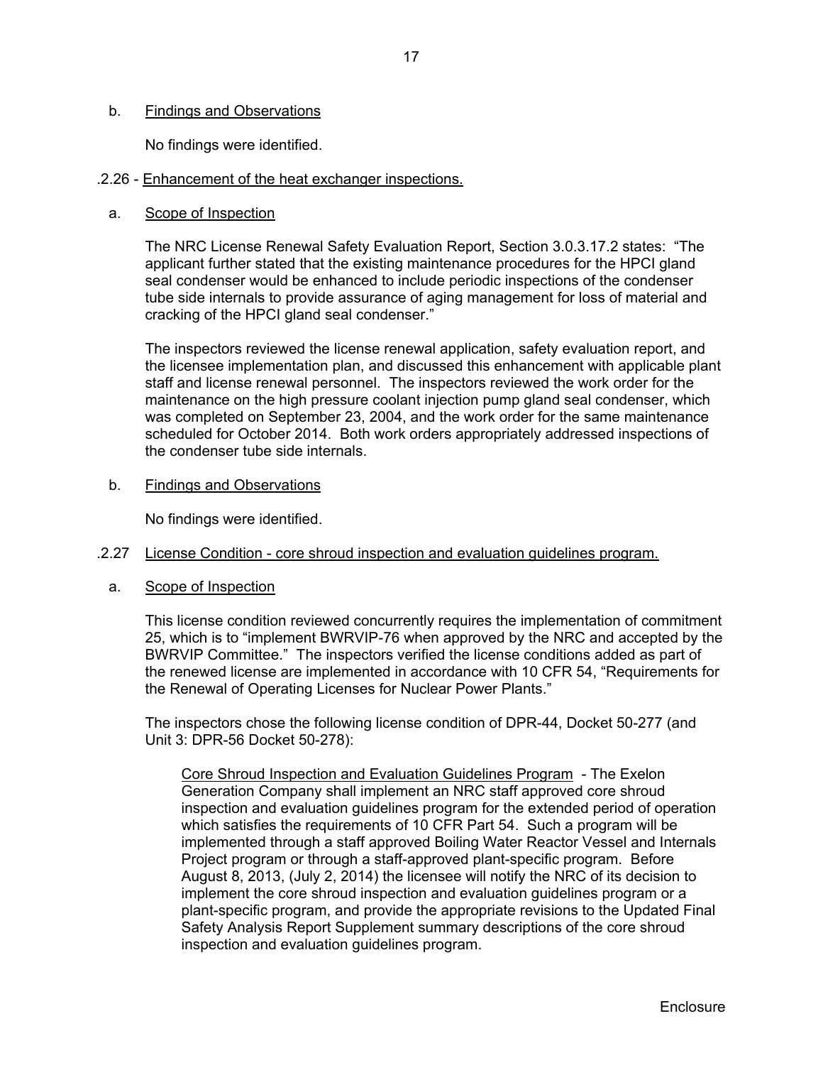## b. Findings and Observations

No findings were identified.

## .2.26 - Enhancement of the heat exchanger inspections.

## a. Scope of Inspection

 The NRC License Renewal Safety Evaluation Report, Section 3.0.3.17.2 states: "The applicant further stated that the existing maintenance procedures for the HPCI gland seal condenser would be enhanced to include periodic inspections of the condenser tube side internals to provide assurance of aging management for loss of material and cracking of the HPCI gland seal condenser."

 The inspectors reviewed the license renewal application, safety evaluation report, and the licensee implementation plan, and discussed this enhancement with applicable plant staff and license renewal personnel. The inspectors reviewed the work order for the maintenance on the high pressure coolant injection pump gland seal condenser, which was completed on September 23, 2004, and the work order for the same maintenance scheduled for October 2014. Both work orders appropriately addressed inspections of the condenser tube side internals.

b. Findings and Observations

No findings were identified.

#### .2.27 License Condition - core shroud inspection and evaluation guidelines program.

a. Scope of Inspection

 This license condition reviewed concurrently requires the implementation of commitment 25, which is to "implement BWRVIP-76 when approved by the NRC and accepted by the BWRVIP Committee." The inspectors verified the license conditions added as part of the renewed license are implemented in accordance with 10 CFR 54, "Requirements for the Renewal of Operating Licenses for Nuclear Power Plants."

 The inspectors chose the following license condition of DPR-44, Docket 50-277 (and Unit 3: DPR-56 Docket 50-278):

 Core Shroud Inspection and Evaluation Guidelines Program - The Exelon Generation Company shall implement an NRC staff approved core shroud inspection and evaluation guidelines program for the extended period of operation which satisfies the requirements of 10 CFR Part 54. Such a program will be implemented through a staff approved Boiling Water Reactor Vessel and Internals Project program or through a staff-approved plant-specific program. Before August 8, 2013, (July 2, 2014) the licensee will notify the NRC of its decision to implement the core shroud inspection and evaluation guidelines program or a plant-specific program, and provide the appropriate revisions to the Updated Final Safety Analysis Report Supplement summary descriptions of the core shroud inspection and evaluation guidelines program.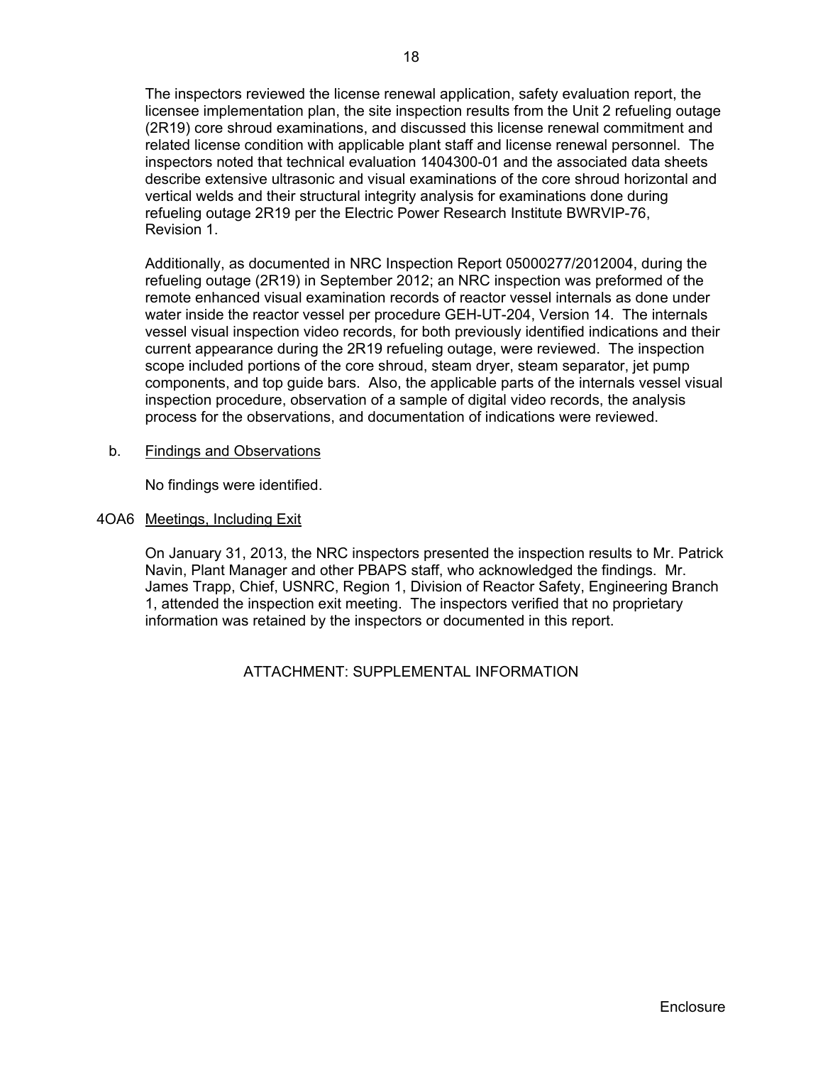The inspectors reviewed the license renewal application, safety evaluation report, the licensee implementation plan, the site inspection results from the Unit 2 refueling outage (2R19) core shroud examinations, and discussed this license renewal commitment and related license condition with applicable plant staff and license renewal personnel. The inspectors noted that technical evaluation 1404300-01 and the associated data sheets describe extensive ultrasonic and visual examinations of the core shroud horizontal and vertical welds and their structural integrity analysis for examinations done during refueling outage 2R19 per the Electric Power Research Institute BWRVIP-76, Revision 1.

 Additionally, as documented in NRC Inspection Report 05000277/2012004, during the refueling outage (2R19) in September 2012; an NRC inspection was preformed of the remote enhanced visual examination records of reactor vessel internals as done under water inside the reactor vessel per procedure GEH-UT-204, Version 14. The internals vessel visual inspection video records, for both previously identified indications and their current appearance during the 2R19 refueling outage, were reviewed. The inspection scope included portions of the core shroud, steam dryer, steam separator, jet pump components, and top guide bars. Also, the applicable parts of the internals vessel visual inspection procedure, observation of a sample of digital video records, the analysis process for the observations, and documentation of indications were reviewed.

b. Findings and Observations

No findings were identified.

## 4OA6 Meetings, Including Exit

On January 31, 2013, the NRC inspectors presented the inspection results to Mr. Patrick Navin, Plant Manager and other PBAPS staff, who acknowledged the findings. Mr. James Trapp, Chief, USNRC, Region 1, Division of Reactor Safety, Engineering Branch 1, attended the inspection exit meeting. The inspectors verified that no proprietary information was retained by the inspectors or documented in this report.

## ATTACHMENT: SUPPLEMENTAL INFORMATION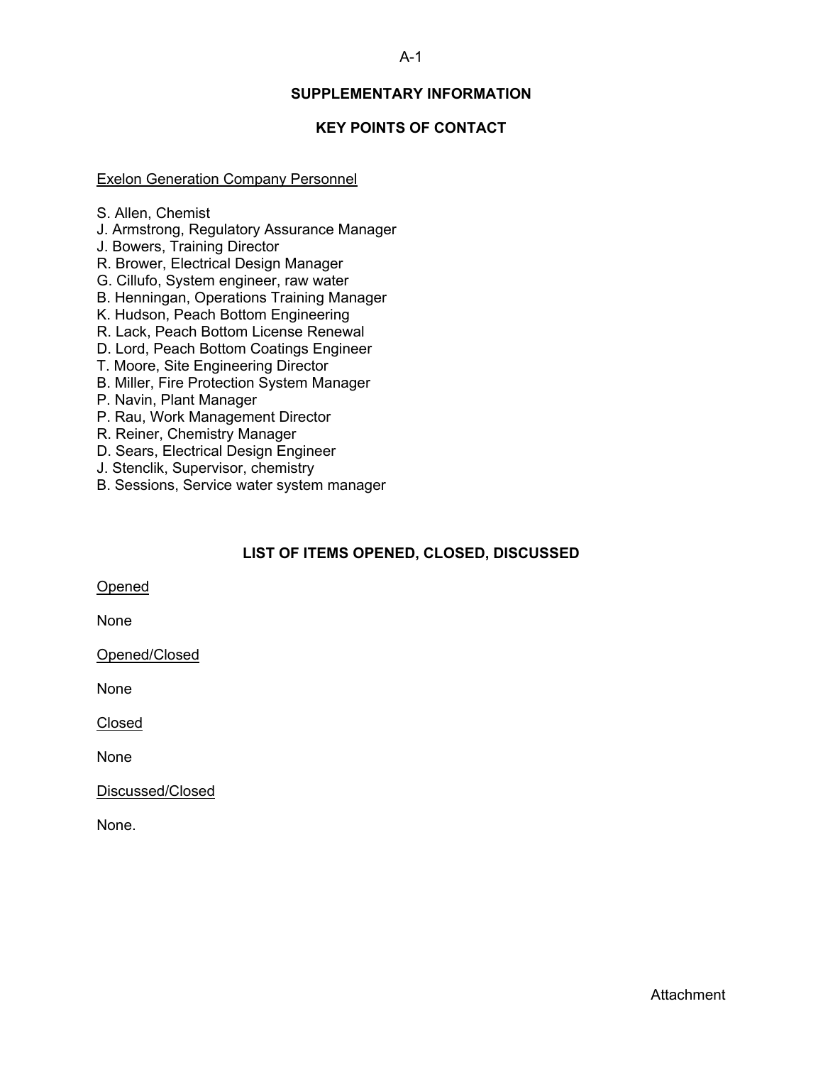## A-1

## **SUPPLEMENTARY INFORMATION**

## **KEY POINTS OF CONTACT**

#### Exelon Generation Company Personnel

- S. Allen, Chemist
- J. Armstrong, Regulatory Assurance Manager
- J. Bowers, Training Director
- R. Brower, Electrical Design Manager
- G. Cillufo, System engineer, raw water
- B. Henningan, Operations Training Manager
- K. Hudson, Peach Bottom Engineering
- R. Lack, Peach Bottom License Renewal
- D. Lord, Peach Bottom Coatings Engineer
- T. Moore, Site Engineering Director
- B. Miller, Fire Protection System Manager
- P. Navin, Plant Manager
- P. Rau, Work Management Director
- R. Reiner, Chemistry Manager
- D. Sears, Electrical Design Engineer
- J. Stenclik, Supervisor, chemistry
- B. Sessions, Service water system manager

## **LIST OF ITEMS OPENED, CLOSED, DISCUSSED**

#### Opened

None

Opened/Closed

None

Closed

None

### Discussed/Closed

None.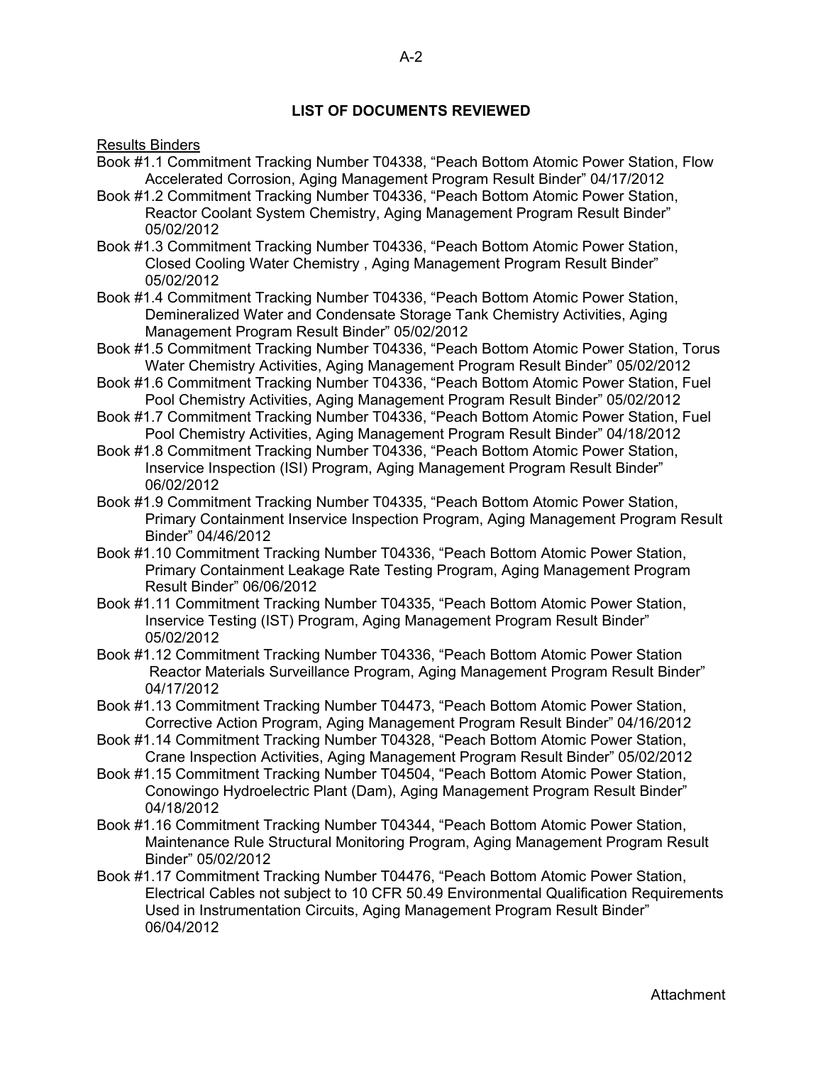## **LIST OF DOCUMENTS REVIEWED**

Results Binders

- Book #1.1 Commitment Tracking Number T04338, "Peach Bottom Atomic Power Station, Flow Accelerated Corrosion, Aging Management Program Result Binder" 04/17/2012
- Book #1.2 Commitment Tracking Number T04336, "Peach Bottom Atomic Power Station, Reactor Coolant System Chemistry, Aging Management Program Result Binder" 05/02/2012
- Book #1.3 Commitment Tracking Number T04336, "Peach Bottom Atomic Power Station, Closed Cooling Water Chemistry , Aging Management Program Result Binder" 05/02/2012
- Book #1.4 Commitment Tracking Number T04336, "Peach Bottom Atomic Power Station, Demineralized Water and Condensate Storage Tank Chemistry Activities, Aging Management Program Result Binder" 05/02/2012
- Book #1.5 Commitment Tracking Number T04336, "Peach Bottom Atomic Power Station, Torus Water Chemistry Activities, Aging Management Program Result Binder" 05/02/2012
- Book #1.6 Commitment Tracking Number T04336, "Peach Bottom Atomic Power Station, Fuel Pool Chemistry Activities, Aging Management Program Result Binder" 05/02/2012
- Book #1.7 Commitment Tracking Number T04336, "Peach Bottom Atomic Power Station, Fuel Pool Chemistry Activities, Aging Management Program Result Binder" 04/18/2012
- Book #1.8 Commitment Tracking Number T04336, "Peach Bottom Atomic Power Station, Inservice Inspection (ISI) Program, Aging Management Program Result Binder" 06/02/2012
- Book #1.9 Commitment Tracking Number T04335, "Peach Bottom Atomic Power Station, Primary Containment Inservice Inspection Program, Aging Management Program Result Binder" 04/46/2012
- Book #1.10 Commitment Tracking Number T04336, "Peach Bottom Atomic Power Station, Primary Containment Leakage Rate Testing Program, Aging Management Program Result Binder" 06/06/2012
- Book #1.11 Commitment Tracking Number T04335, "Peach Bottom Atomic Power Station, Inservice Testing (IST) Program, Aging Management Program Result Binder" 05/02/2012
- Book #1.12 Commitment Tracking Number T04336, "Peach Bottom Atomic Power Station Reactor Materials Surveillance Program, Aging Management Program Result Binder" 04/17/2012
- Book #1.13 Commitment Tracking Number T04473, "Peach Bottom Atomic Power Station, Corrective Action Program, Aging Management Program Result Binder" 04/16/2012
- Book #1.14 Commitment Tracking Number T04328, "Peach Bottom Atomic Power Station, Crane Inspection Activities, Aging Management Program Result Binder" 05/02/2012
- Book #1.15 Commitment Tracking Number T04504, "Peach Bottom Atomic Power Station, Conowingo Hydroelectric Plant (Dam), Aging Management Program Result Binder" 04/18/2012
- Book #1.16 Commitment Tracking Number T04344, "Peach Bottom Atomic Power Station, Maintenance Rule Structural Monitoring Program, Aging Management Program Result Binder" 05/02/2012
- Book #1.17 Commitment Tracking Number T04476, "Peach Bottom Atomic Power Station, Electrical Cables not subject to 10 CFR 50.49 Environmental Qualification Requirements Used in Instrumentation Circuits, Aging Management Program Result Binder" 06/04/2012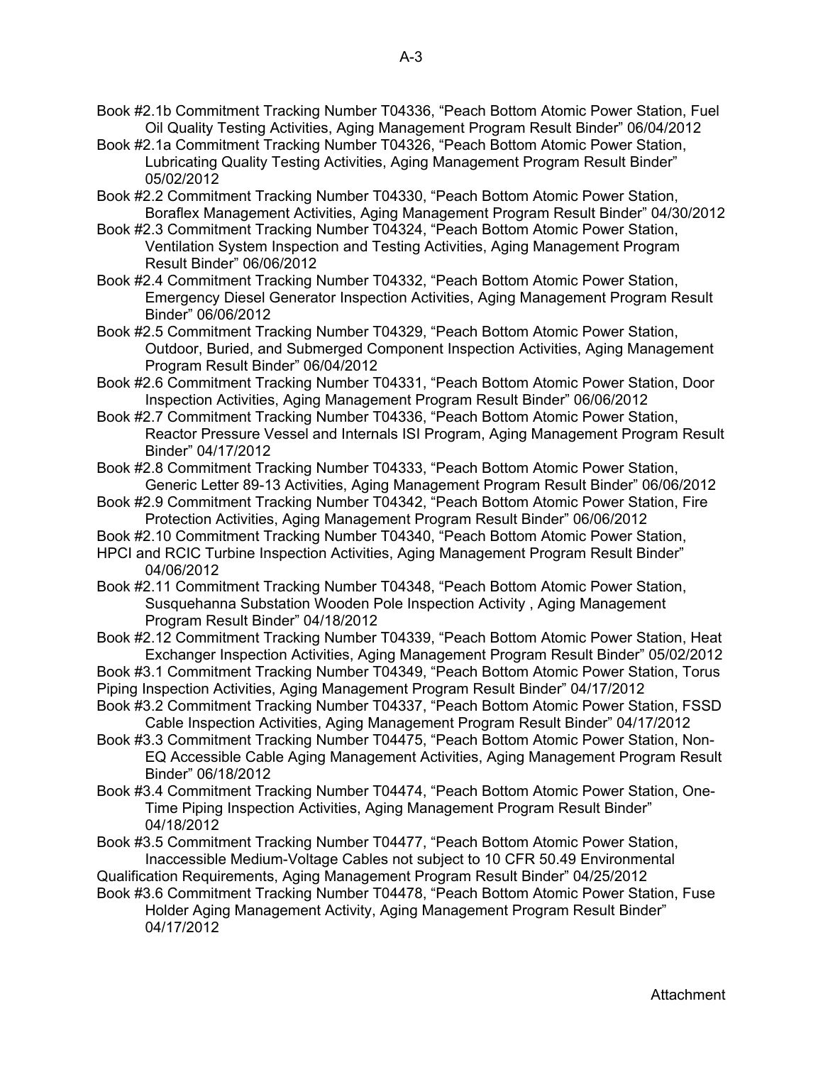- Book #2.1a Commitment Tracking Number T04326, "Peach Bottom Atomic Power Station, Lubricating Quality Testing Activities, Aging Management Program Result Binder" 05/02/2012
- Book #2.2 Commitment Tracking Number T04330, "Peach Bottom Atomic Power Station, Boraflex Management Activities, Aging Management Program Result Binder" 04/30/2012
- Book #2.3 Commitment Tracking Number T04324, "Peach Bottom Atomic Power Station, Ventilation System Inspection and Testing Activities, Aging Management Program Result Binder" 06/06/2012
- Book #2.4 Commitment Tracking Number T04332, "Peach Bottom Atomic Power Station, Emergency Diesel Generator Inspection Activities, Aging Management Program Result Binder" 06/06/2012
- Book #2.5 Commitment Tracking Number T04329, "Peach Bottom Atomic Power Station, Outdoor, Buried, and Submerged Component Inspection Activities, Aging Management Program Result Binder" 06/04/2012
- Book #2.6 Commitment Tracking Number T04331, "Peach Bottom Atomic Power Station, Door Inspection Activities, Aging Management Program Result Binder" 06/06/2012
- Book #2.7 Commitment Tracking Number T04336, "Peach Bottom Atomic Power Station, Reactor Pressure Vessel and Internals ISI Program, Aging Management Program Result Binder" 04/17/2012
- Book #2.8 Commitment Tracking Number T04333, "Peach Bottom Atomic Power Station, Generic Letter 89-13 Activities, Aging Management Program Result Binder" 06/06/2012
- Book #2.9 Commitment Tracking Number T04342, "Peach Bottom Atomic Power Station, Fire Protection Activities, Aging Management Program Result Binder" 06/06/2012
- Book #2.10 Commitment Tracking Number T04340, "Peach Bottom Atomic Power Station, HPCI and RCIC Turbine Inspection Activities, Aging Management Program Result Binder"
- 04/06/2012
- Book #2.11 Commitment Tracking Number T04348, "Peach Bottom Atomic Power Station, Susquehanna Substation Wooden Pole Inspection Activity , Aging Management Program Result Binder" 04/18/2012
- Book #2.12 Commitment Tracking Number T04339, "Peach Bottom Atomic Power Station, Heat Exchanger Inspection Activities, Aging Management Program Result Binder" 05/02/2012
- Book #3.1 Commitment Tracking Number T04349, "Peach Bottom Atomic Power Station, Torus Piping Inspection Activities, Aging Management Program Result Binder" 04/17/2012
- Book #3.2 Commitment Tracking Number T04337, "Peach Bottom Atomic Power Station, FSSD Cable Inspection Activities, Aging Management Program Result Binder" 04/17/2012
- Book #3.3 Commitment Tracking Number T04475, "Peach Bottom Atomic Power Station, Non- EQ Accessible Cable Aging Management Activities, Aging Management Program Result Binder" 06/18/2012
- Book #3.4 Commitment Tracking Number T04474, "Peach Bottom Atomic Power Station, One- Time Piping Inspection Activities, Aging Management Program Result Binder" 04/18/2012
- Book #3.5 Commitment Tracking Number T04477, "Peach Bottom Atomic Power Station, Inaccessible Medium-Voltage Cables not subject to 10 CFR 50.49 Environmental
- Qualification Requirements, Aging Management Program Result Binder" 04/25/2012
- Book #3.6 Commitment Tracking Number T04478, "Peach Bottom Atomic Power Station, Fuse Holder Aging Management Activity, Aging Management Program Result Binder" 04/17/2012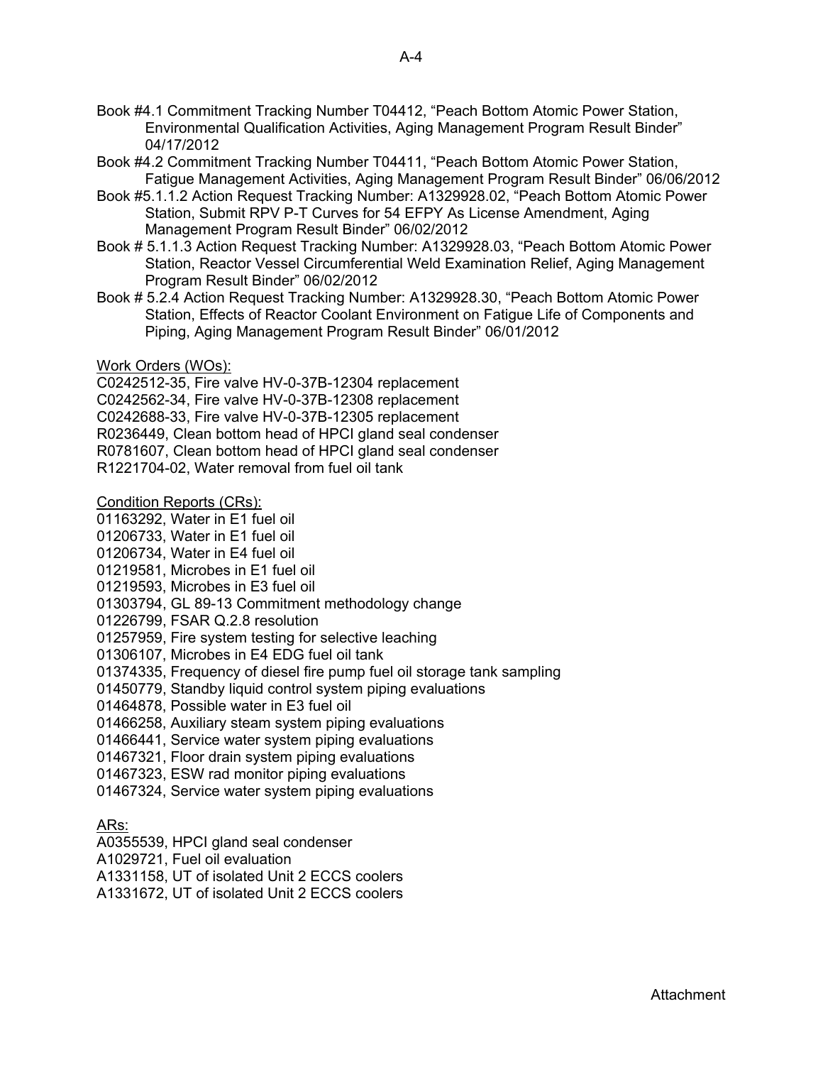- Book #4.1 Commitment Tracking Number T04412, "Peach Bottom Atomic Power Station, Environmental Qualification Activities, Aging Management Program Result Binder" 04/17/2012
- Book #4.2 Commitment Tracking Number T04411, "Peach Bottom Atomic Power Station, Fatigue Management Activities, Aging Management Program Result Binder" 06/06/2012
- Book #5.1.1.2 Action Request Tracking Number: A1329928.02, "Peach Bottom Atomic Power Station, Submit RPV P-T Curves for 54 EFPY As License Amendment, Aging Management Program Result Binder" 06/02/2012
- Book # 5.1.1.3 Action Request Tracking Number: A1329928.03, "Peach Bottom Atomic Power Station, Reactor Vessel Circumferential Weld Examination Relief, Aging Management Program Result Binder" 06/02/2012
- Book # 5.2.4 Action Request Tracking Number: A1329928.30, "Peach Bottom Atomic Power Station, Effects of Reactor Coolant Environment on Fatigue Life of Components and Piping, Aging Management Program Result Binder" 06/01/2012

Work Orders (WOs):

C0242512-35, Fire valve HV-0-37B-12304 replacement C0242562-34, Fire valve HV-0-37B-12308 replacement C0242688-33, Fire valve HV-0-37B-12305 replacement R0236449, Clean bottom head of HPCI gland seal condenser R0781607, Clean bottom head of HPCI gland seal condenser R1221704-02, Water removal from fuel oil tank

Condition Reports (CRs):

- 01163292, Water in E1 fuel oil
- 01206733, Water in E1 fuel oil
- 01206734, Water in E4 fuel oil
- 01219581, Microbes in E1 fuel oil
- 01219593, Microbes in E3 fuel oil
- 01303794, GL 89-13 Commitment methodology change
- 01226799, FSAR Q.2.8 resolution
- 01257959, Fire system testing for selective leaching
- 01306107, Microbes in E4 EDG fuel oil tank
- 01374335, Frequency of diesel fire pump fuel oil storage tank sampling
- 01450779, Standby liquid control system piping evaluations
- 01464878, Possible water in E3 fuel oil
- 01466258, Auxiliary steam system piping evaluations
- 01466441, Service water system piping evaluations
- 01467321, Floor drain system piping evaluations
- 01467323, ESW rad monitor piping evaluations
- 01467324, Service water system piping evaluations

## ARs:

- A0355539, HPCI gland seal condenser
- A1029721, Fuel oil evaluation
- A1331158, UT of isolated Unit 2 ECCS coolers
- A1331672, UT of isolated Unit 2 ECCS coolers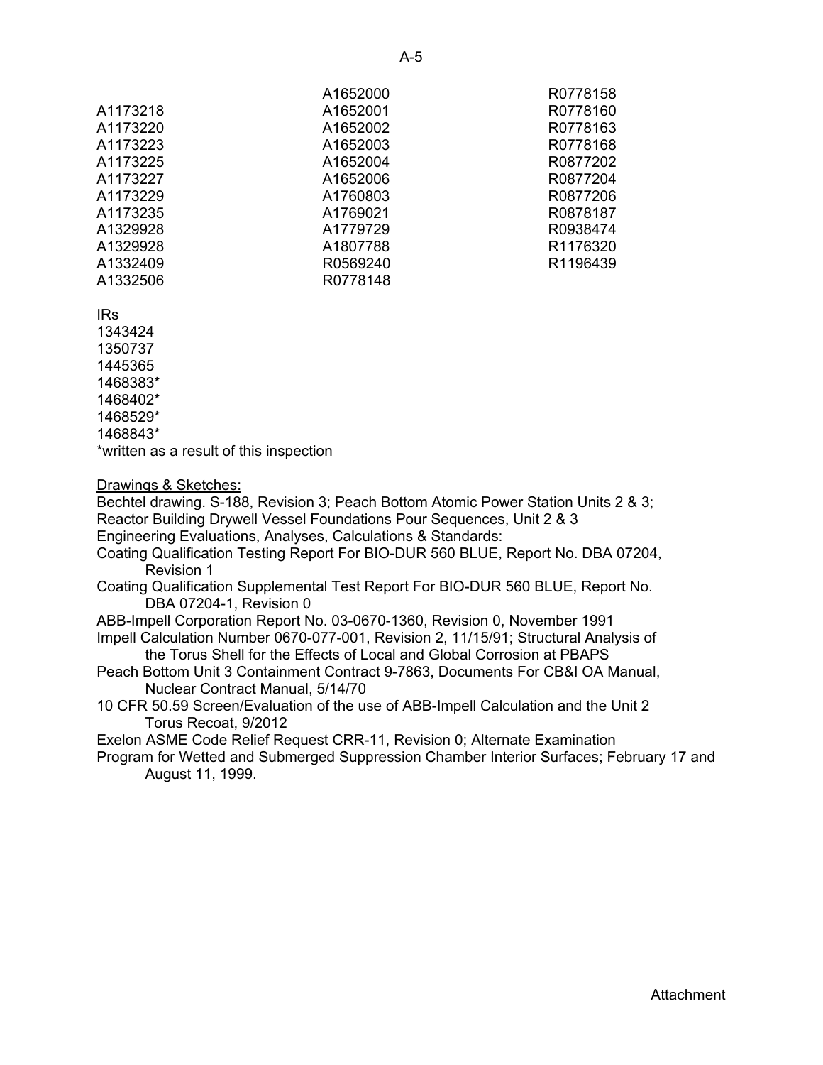|          | A1652000 | R0778158              |
|----------|----------|-----------------------|
| A1173218 | A1652001 | R0778160              |
| A1173220 | A1652002 | R0778163              |
| A1173223 | A1652003 | R0778168              |
| A1173225 | A1652004 | R0877202              |
| A1173227 | A1652006 | R0877204              |
| A1173229 | A1760803 | R0877206              |
| A1173235 | A1769021 | R0878187              |
| A1329928 | A1779729 | R0938474              |
| A1329928 | A1807788 | R <sub>1176320</sub>  |
| A1332409 | R0569240 | R <sub>11964</sub> 39 |
| A1332506 | R0778148 |                       |

## IRs

1343424 1350737 1445365 1468383\* 1468402\* 1468529\* 1468843\*

\*written as a result of this inspection

Drawings & Sketches:

Bechtel drawing. S-188, Revision 3; Peach Bottom Atomic Power Station Units 2 & 3; Reactor Building Drywell Vessel Foundations Pour Sequences, Unit 2 & 3 Engineering Evaluations, Analyses, Calculations & Standards:

Coating Qualification Testing Report For BIO-DUR 560 BLUE, Report No. DBA 07204, Revision 1

Coating Qualification Supplemental Test Report For BIO-DUR 560 BLUE, Report No. DBA 07204-1, Revision 0

ABB-Impell Corporation Report No. 03-0670-1360, Revision 0, November 1991

Impell Calculation Number 0670-077-001, Revision 2, 11/15/91; Structural Analysis of the Torus Shell for the Effects of Local and Global Corrosion at PBAPS

Peach Bottom Unit 3 Containment Contract 9-7863, Documents For CB&I OA Manual, Nuclear Contract Manual, 5/14/70

10 CFR 50.59 Screen/Evaluation of the use of ABB-Impell Calculation and the Unit 2 Torus Recoat, 9/2012

Exelon ASME Code Relief Request CRR-11, Revision 0; Alternate Examination

Program for Wetted and Submerged Suppression Chamber Interior Surfaces; February 17 and August 11, 1999.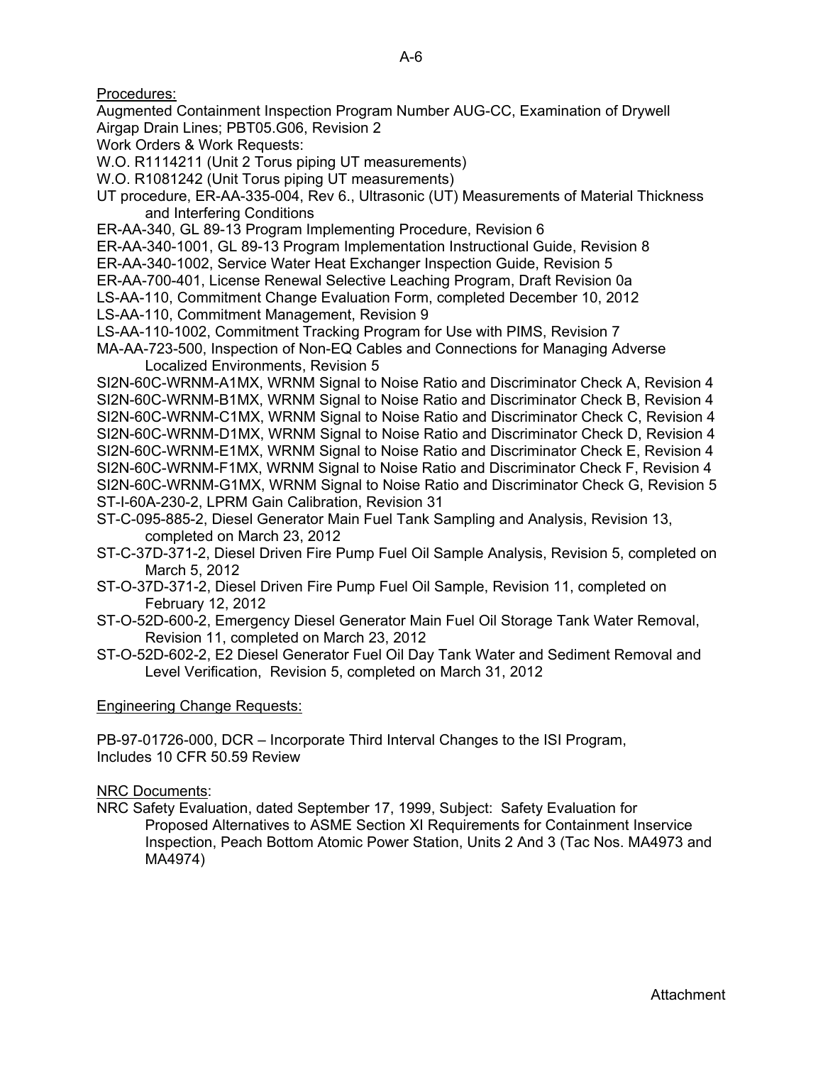Procedures:

- Augmented Containment Inspection Program Number AUG-CC, Examination of Drywell Airgap Drain Lines; PBT05.G06, Revision 2
- Work Orders & Work Requests:
- W.O. R1114211 (Unit 2 Torus piping UT measurements)
- W.O. R1081242 (Unit Torus piping UT measurements)
- UT procedure, ER-AA-335-004, Rev 6., Ultrasonic (UT) Measurements of Material Thickness and Interfering Conditions
- ER-AA-340, GL 89-13 Program Implementing Procedure, Revision 6
- ER-AA-340-1001, GL 89-13 Program Implementation Instructional Guide, Revision 8
- ER-AA-340-1002, Service Water Heat Exchanger Inspection Guide, Revision 5
- ER-AA-700-401, License Renewal Selective Leaching Program, Draft Revision 0a
- LS-AA-110, Commitment Change Evaluation Form, completed December 10, 2012
- LS-AA-110, Commitment Management, Revision 9
- LS-AA-110-1002, Commitment Tracking Program for Use with PIMS, Revision 7
- MA-AA-723-500, Inspection of Non-EQ Cables and Connections for Managing Adverse Localized Environments, Revision 5

SI2N-60C-WRNM-A1MX, WRNM Signal to Noise Ratio and Discriminator Check A, Revision 4 SI2N-60C-WRNM-B1MX, WRNM Signal to Noise Ratio and Discriminator Check B, Revision 4 SI2N-60C-WRNM-C1MX, WRNM Signal to Noise Ratio and Discriminator Check C, Revision 4 SI2N-60C-WRNM-D1MX, WRNM Signal to Noise Ratio and Discriminator Check D, Revision 4 SI2N-60C-WRNM-E1MX, WRNM Signal to Noise Ratio and Discriminator Check E, Revision 4 SI2N-60C-WRNM-F1MX, WRNM Signal to Noise Ratio and Discriminator Check F, Revision 4 SI2N-60C-WRNM-G1MX, WRNM Signal to Noise Ratio and Discriminator Check G, Revision 5 ST-I-60A-230-2, LPRM Gain Calibration, Revision 31

- ST-C-095-885-2, Diesel Generator Main Fuel Tank Sampling and Analysis, Revision 13, completed on March 23, 2012
- ST-C-37D-371-2, Diesel Driven Fire Pump Fuel Oil Sample Analysis, Revision 5, completed on March 5, 2012
- ST-O-37D-371-2, Diesel Driven Fire Pump Fuel Oil Sample, Revision 11, completed on February 12, 2012
- ST-O-52D-600-2, Emergency Diesel Generator Main Fuel Oil Storage Tank Water Removal, Revision 11, completed on March 23, 2012
- ST-O-52D-602-2, E2 Diesel Generator Fuel Oil Day Tank Water and Sediment Removal and Level Verification, Revision 5, completed on March 31, 2012

## Engineering Change Requests:

PB-97-01726-000, DCR – Incorporate Third Interval Changes to the ISI Program, Includes 10 CFR 50.59 Review

## NRC Documents:

NRC Safety Evaluation, dated September 17, 1999, Subject: Safety Evaluation for Proposed Alternatives to ASME Section XI Requirements for Containment Inservice Inspection, Peach Bottom Atomic Power Station, Units 2 And 3 (Tac Nos. MA4973 and MA4974)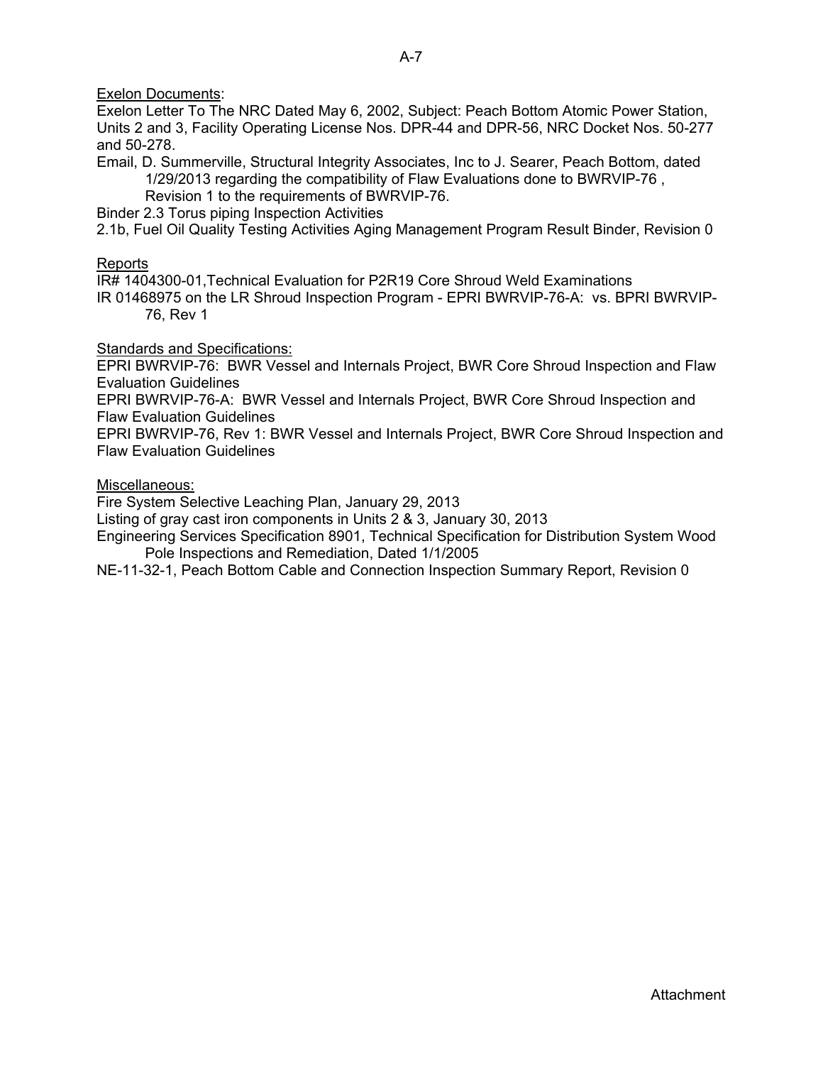Exelon Documents:

Exelon Letter To The NRC Dated May 6, 2002, Subject: Peach Bottom Atomic Power Station, Units 2 and 3, Facility Operating License Nos. DPR-44 and DPR-56, NRC Docket Nos. 50-277 and 50-278.

Email, D. Summerville, Structural Integrity Associates, Inc to J. Searer, Peach Bottom, dated 1/29/2013 regarding the compatibility of Flaw Evaluations done to BWRVIP-76 , Revision 1 to the requirements of BWRVIP-76.

Binder 2.3 Torus piping Inspection Activities

2.1b, Fuel Oil Quality Testing Activities Aging Management Program Result Binder, Revision 0

Reports

IR# 1404300-01,Technical Evaluation for P2R19 Core Shroud Weld Examinations

IR 01468975 on the LR Shroud Inspection Program - EPRI BWRVIP-76-A: vs. BPRI BWRVIP- 76, Rev 1

**Standards and Specifications:** 

EPRI BWRVIP-76: BWR Vessel and Internals Project, BWR Core Shroud Inspection and Flaw Evaluation Guidelines

EPRI BWRVIP-76-A: BWR Vessel and Internals Project, BWR Core Shroud Inspection and Flaw Evaluation Guidelines

EPRI BWRVIP-76, Rev 1: BWR Vessel and Internals Project, BWR Core Shroud Inspection and Flaw Evaluation Guidelines

Miscellaneous:

Fire System Selective Leaching Plan, January 29, 2013

Listing of gray cast iron components in Units 2 & 3, January 30, 2013

Engineering Services Specification 8901, Technical Specification for Distribution System Wood Pole Inspections and Remediation, Dated 1/1/2005

NE-11-32-1, Peach Bottom Cable and Connection Inspection Summary Report, Revision 0